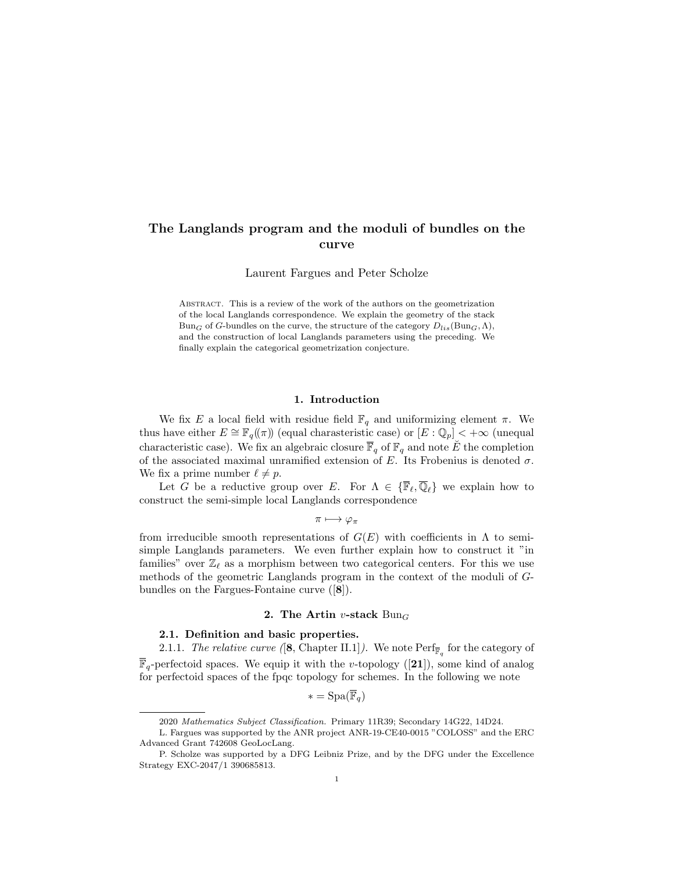## The Langlands program and the moduli of bundles on the curve

Laurent Fargues and Peter Scholze

Abstract. This is a review of the work of the authors on the geometrization of the local Langlands correspondence. We explain the geometry of the stack  $Bun_G$  of G-bundles on the curve, the structure of the category  $D_{lis}(\text{Bun}_G, \Lambda)$ , and the construction of local Langlands parameters using the preceding. We finally explain the categorical geometrization conjecture.

## 1. Introduction

We fix E a local field with residue field  $\mathbb{F}_q$  and uniformizing element  $\pi$ . We thus have either  $E \cong \mathbb{F}_q(\!(\pi)\!)$  (equal charasteristic case) or  $[E:\mathbb{Q}_p] < +\infty$  (unequal characteristic case). We fix an algebraic closure  $\overline{\mathbb{F}}_q$  of  $\mathbb{F}_q$  and note  $\check{E}$  the completion of the associated maximal unramified extension of E. Its Frobenius is denoted  $\sigma$ . We fix a prime number  $\ell \neq p$ .

Let G be a reductive group over E. For  $\Lambda \in \{\overline{\mathbb{F}}_{\ell}, \overline{\mathbb{Q}}_{\ell}\}\$  we explain how to construct the semi-simple local Langlands correspondence

 $\pi \longmapsto \varphi_{\pi}$ 

from irreducible smooth representations of  $G(E)$  with coefficients in  $\Lambda$  to semisimple Langlands parameters. We even further explain how to construct it "in families" over  $\mathbb{Z}_\ell$  as a morphism between two categorical centers. For this we use methods of the geometric Langlands program in the context of the moduli of Gbundles on the Fargues-Fontaine curve ([8]).

## 2. The Artin v-stack  $Bun_G$

## 2.1. Definition and basic properties.

2.1.1. The relative curve ([8, Chapter II.1]). We note  $\mathrm{Perf}_{\overline{\mathbb{F}}_q}$  for the category of  $\overline{\mathbb{F}}_q$ -perfectoid spaces. We equip it with the v-topology ([21]), some kind of analog for perfectoid spaces of the fpqc topology for schemes. In the following we note

$$
* = \mathrm{Spa}(\overline{\mathbb{F}}_q)
$$

<sup>2020</sup> Mathematics Subject Classification. Primary 11R39; Secondary 14G22, 14D24.

L. Fargues was supported by the ANR project ANR-19-CE40-0015 "COLOSS" and the ERC Advanced Grant 742608 GeoLocLang.

P. Scholze was supported by a DFG Leibniz Prize, and by the DFG under the Excellence Strategy EXC-2047/1 390685813.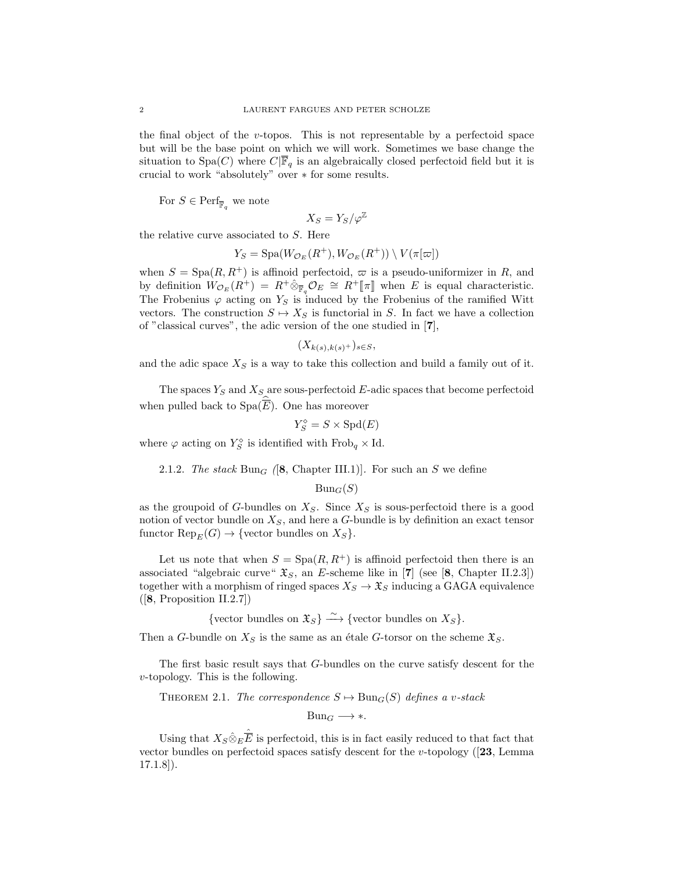the final object of the v-topos. This is not representable by a perfectoid space but will be the base point on which we will work. Sometimes we base change the situation to Spa(C) where  $C|\overline{\mathbb{F}}_q$  is an algebraically closed perfectoid field but it is crucial to work "absolutely" over ∗ for some results.

For  $S \in \operatorname{Perf}_{\overline{\mathbb{F}}_q}$  we note

$$
X_S=Y_S/\varphi^\mathbb{Z}
$$

the relative curve associated to S. Here

$$
Y_S = \mathrm{Spa}(W_{\mathcal{O}_E}(R^+), W_{\mathcal{O}_E}(R^+)) \setminus V(\pi[\varpi])
$$

when  $S = \text{Spa}(R, R^+)$  is affinoid perfectoid,  $\varpi$  is a pseudo-uniformizer in R, and by definition  $W_{\mathcal{O}_E}(R^+) = R^+ \hat{\otimes}_{\mathbb{F}_q} \mathcal{O}_E \cong R^+[\![\pi]\!]$  when E is equal characteristic. The Frobenius  $\varphi$  acting on  $Y_S$  is induced by the Frobenius of the ramified Witt vectors. The construction  $S \mapsto X_S$  is functorial in S. In fact we have a collection of "classical curves", the adic version of the one studied in [7],

$$
(X_{k(s),k(s)^+})_{s\in S},
$$

and the adic space  $X<sub>S</sub>$  is a way to take this collection and build a family out of it.

The spaces  $Y_S$  and  $X_S$  are sous-perfectoid E-adic spaces that become perfectoid when pulled back to  $Spa(\overline{E})$ . One has moreover

$$
Y_S^\diamond=S\times{\rm Spd}(E)
$$

where  $\varphi$  acting on  $Y_S^{\diamond}$  is identified with  $\operatorname{Frob}_q \times \text{Id}$ .

## 2.1.2. The stack  $Bun_G$  ([8, Chapter III.1)]. For such an S we define

 $Bun_G(S)$ 

as the groupoid of G-bundles on  $X_S$ . Since  $X_S$  is sous-perfectoid there is a good notion of vector bundle on  $X<sub>S</sub>$ , and here a G-bundle is by definition an exact tensor functor  $\text{Rep}_E(G) \to \{\text{vector bundles on } X_S\}.$ 

Let us note that when  $S = \text{Spa}(R, R^+)$  is affinoid perfectoid then there is an associated "algebraic curve"  $\mathfrak{X}_S$ , an E-scheme like in [7] (see [8, Chapter II.2.3]) together with a morphism of ringed spaces  $X_S \to \mathfrak{X}_S$  inducing a GAGA equivalence ([8, Proposition II.2.7])

{vector bundles on  $\mathfrak{X}_S$ }  $\xrightarrow{\sim}$  {vector bundles on  $X_S$ }.

Then a G-bundle on  $X_S$  is the same as an étale G-torsor on the scheme  $\mathfrak{X}_S$ .

The first basic result says that G-bundles on the curve satisfy descent for the  $v$ -topology. This is the following.

THEOREM 2.1. The correspondence  $S \mapsto \text{Bun}_G(S)$  defines a v-stack

 $Bun_G \longrightarrow *$ .

Using that  $X_S \hat{\otimes}_E \hat{\overline{E}}$  is perfectoid, this is in fact easily reduced to that fact that vector bundles on perfectoid spaces satisfy descent for the v-topology  $(23, \text{Lemma})$ 17.1.8]).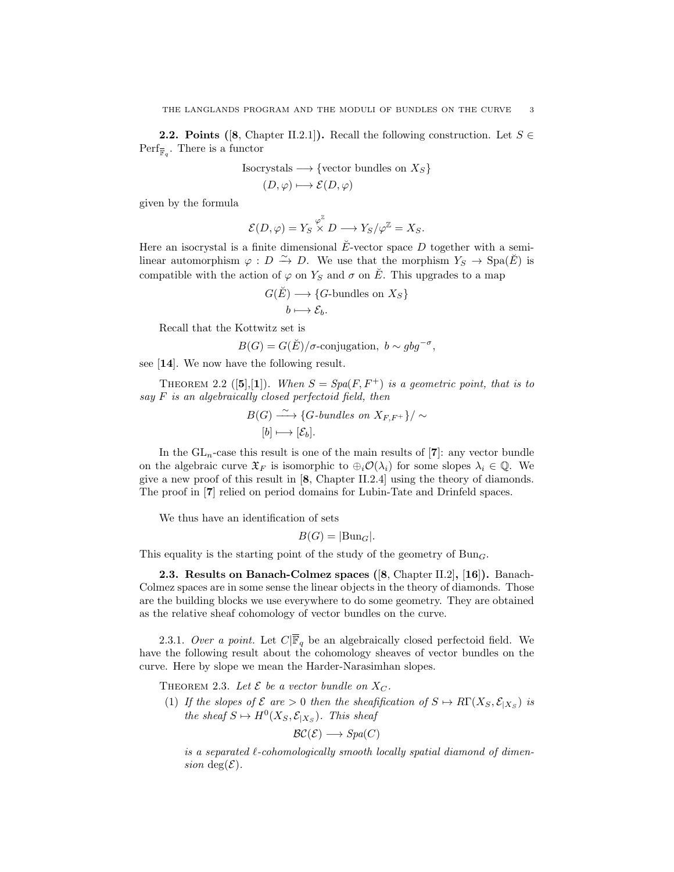**2.2. Points ([8, Chapter II.2.1]).** Recall the following construction. Let  $S \in$  $\text{Perf}_{\overline{\mathbb{F}}_q}$ . There is a functor

Isocrystals 
$$
\longrightarrow
$$
 {vector bundles on  $X_S$ }

$$
(D, \varphi) \longmapsto \mathcal{E}(D, \varphi)
$$

given by the formula

$$
\mathcal{E}(D,\varphi)=Y_S\overset{\varphi^{\mathbb{Z}}}{\times}D\longrightarrow Y_S/\varphi^{\mathbb{Z}}=X_S.
$$

Here an isocrystal is a finite dimensional  $\check{E}$ -vector space D together with a semilinear automorphism  $\varphi : D \xrightarrow{\sim} D$ . We use that the morphism  $Y_S \to \text{Spa}(\check{E})$  is compatible with the action of  $\varphi$  on  $Y_S$  and  $\sigma$  on  $\check{E}$ . This upgrades to a map

$$
G(\breve{E}) \longrightarrow \{G\text{-bundles on } X_S\}
$$

$$
b \longmapsto \mathcal{E}_b.
$$

Recall that the Kottwitz set is

$$
B(G) = G(\breve{E})/\sigma\text{-conjugation}, \ b \sim gbg^{-\sigma},
$$

see [14]. We now have the following result.

THEOREM 2.2 ([5],[1]). When  $S = Spa(F, F^+)$  is a geometric point, that is to say  $F$  is an algebraically closed perfectoid field, then

$$
B(G) \xrightarrow{\sim} \{G\text{-}bundles on X_{F,F^+}\}/\sim
$$
  
[b] \longrightarrow [\mathcal{E}\_b].

In the  $GL_n$ -case this result is one of the main results of [7]: any vector bundle on the algebraic curve  $\mathfrak{X}_F$  is isomorphic to  $\oplus_i \mathcal{O}(\lambda_i)$  for some slopes  $\lambda_i \in \mathbb{Q}$ . We give a new proof of this result in [8, Chapter II.2.4] using the theory of diamonds. The proof in [7] relied on period domains for Lubin-Tate and Drinfeld spaces.

We thus have an identification of sets

$$
B(G) = |\text{Bun}_G|.
$$

This equality is the starting point of the study of the geometry of  $Bun_G$ .

2.3. Results on Banach-Colmez spaces ([8, Chapter II.2], [16]). Banach-Colmez spaces are in some sense the linear objects in the theory of diamonds. Those are the building blocks we use everywhere to do some geometry. They are obtained as the relative sheaf cohomology of vector bundles on the curve.

2.3.1. Over a point. Let  $C|\overline{\mathbb{F}}_q$  be an algebraically closed perfectoid field. We have the following result about the cohomology sheaves of vector bundles on the curve. Here by slope we mean the Harder-Narasimhan slopes.

THEOREM 2.3. Let  $\mathcal E$  be a vector bundle on  $X_C$ .

(1) If the slopes of  $\mathcal E$  are  $> 0$  then the sheafification of  $S \to R\Gamma(X_S, \mathcal E_{|X_S})$  is the sheaf  $S \mapsto H^0(X_S, \mathcal{E}_{|X_S})$ . This sheaf

$$
\mathcal{BC}(\mathcal{E}) \longrightarrow Spa(C)
$$

is a separated  $\ell$ -cohomologically smooth locally spatial diamond of dimension deg( $\mathcal{E}$ ).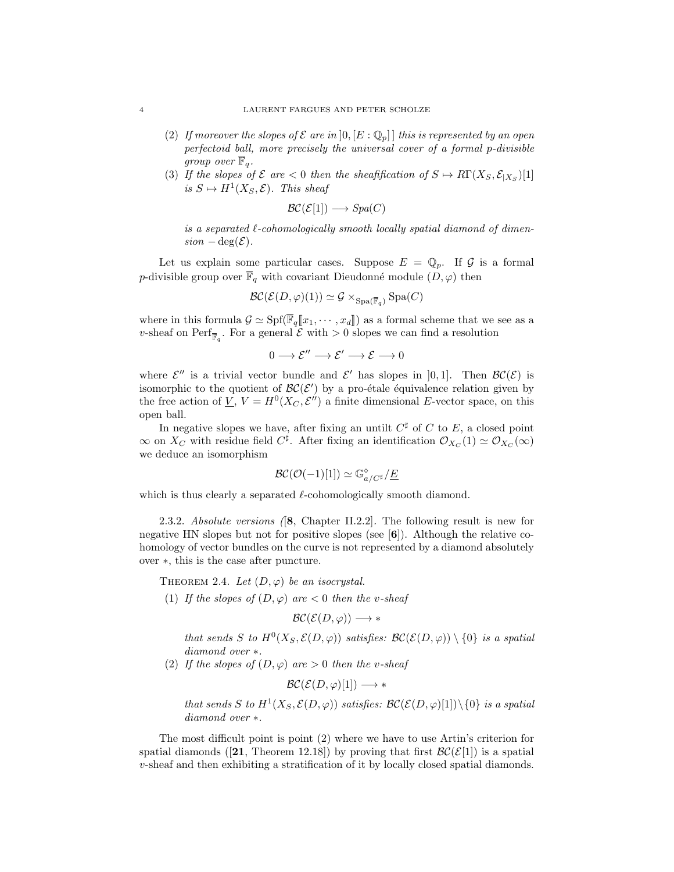- (2) If moreover the slopes of  $\mathcal E$  are in  $]0, [E:\mathbb Q_p]$  this is represented by an open perfectoid ball, more precisely the universal cover of a formal p-divisible group over  $\overline{\mathbb{F}}_q$ .
- (3) If the slopes of  $\mathcal E$  are  $\lt 0$  then the sheaft fication of  $S \mapsto R\Gamma(X_S, \mathcal E_{|X_S})[1]$ is  $S \mapsto H^1(X_S, \mathcal{E})$ . This sheaf

$$
\mathcal{BC}(\mathcal{E}[1]) \longrightarrow Spa(C)
$$

is a separated  $\ell$ -cohomologically smooth locally spatial diamond of dimen $sion - \deg(\mathcal{E}).$ 

Let us explain some particular cases. Suppose  $E = \mathbb{Q}_p$ . If G is a formal p-divisible group over  $\overline{\mathbb{F}}_q$  with covariant Dieudonné module  $(D, \varphi)$  then

$$
\mathcal{BC}(\mathcal{E}(D,\varphi)(1)) \simeq \mathcal{G} \times_{\mathrm{Spa}(\overline{\mathbb{F}}_q)} \mathrm{Spa}(C)
$$

where in this formula  $\mathcal{G} \simeq \text{Spf}(\overline{\mathbb{F}}_q[x_1, \dots, x_d])$  as a formal scheme that we see as a v-sheaf on  $\text{Perf}_{\overline{\mathbb{F}}_q}$ . For a general  $\mathcal E$  with  $>0$  slopes we can find a resolution

$$
0 \longrightarrow \mathcal{E}'' \longrightarrow \mathcal{E}' \longrightarrow \mathcal{E} \longrightarrow 0
$$

where  $\mathcal{E}''$  is a trivial vector bundle and  $\mathcal{E}'$  has slopes in [0,1]. Then  $\mathcal{BC}(\mathcal{E})$  is isomorphic to the quotient of  $\mathcal{BC}(\mathcal{E}')$  by a pro-étale équivalence relation given by the free action of  $\underline{V}$ ,  $V = H^0(X_C, \mathcal{E}'')$  a finite dimensional E-vector space, on this open ball.

In negative slopes we have, after fixing an untilt  $C^{\sharp}$  of C to E, a closed point  $\infty$  on  $X_C$  with residue field  $C^{\sharp}$ . After fixing an identification  $\mathcal{O}_{X_C}(1) \simeq \mathcal{O}_{X_C}(\infty)$ we deduce an isomorphism

$$
\mathcal{BC}(\mathcal{O}(-1)[1]) \simeq \mathbb{G}_{a/C^{\sharp}}^{\diamond}/\underline{E}
$$

which is thus clearly a separated  $\ell$ -cohomologically smooth diamond.

2.3.2. Absolute versions ([8, Chapter II.2.2]. The following result is new for negative HN slopes but not for positive slopes (see  $[6]$ ). Although the relative cohomology of vector bundles on the curve is not represented by a diamond absolutely over ∗, this is the case after puncture.

THEOREM 2.4. Let  $(D, \varphi)$  be an isocrystal.

(1) If the slopes of  $(D, \varphi)$  are  $< 0$  then the v-sheaf

$$
\mathcal{BC}(\mathcal{E}(D,\varphi)) \longrightarrow *
$$

that sends S to  $H^0(X_S, \mathcal{E}(D, \varphi))$  satisfies:  $\mathcal{BC}(\mathcal{E}(D, \varphi)) \setminus \{0\}$  is a spatial diamond over ∗.

(2) If the slopes of  $(D, \varphi)$  are  $> 0$  then the v-sheaf

 $\mathcal{BC}(\mathcal{E}(D,\varphi)[1]) \longrightarrow *$ 

that sends S to  $H^1(X_S, \mathcal{E}(D, \varphi))$  satisfies:  $\mathcal{BC}(\mathcal{E}(D, \varphi)[1]) \setminus \{0\}$  is a spatial diamond over ∗.

The most difficult point is point (2) where we have to use Artin's criterion for spatial diamonds ([21, Theorem 12.18]) by proving that first  $\mathcal{BC}(\mathcal{E}[1])$  is a spatial v-sheaf and then exhibiting a stratification of it by locally closed spatial diamonds.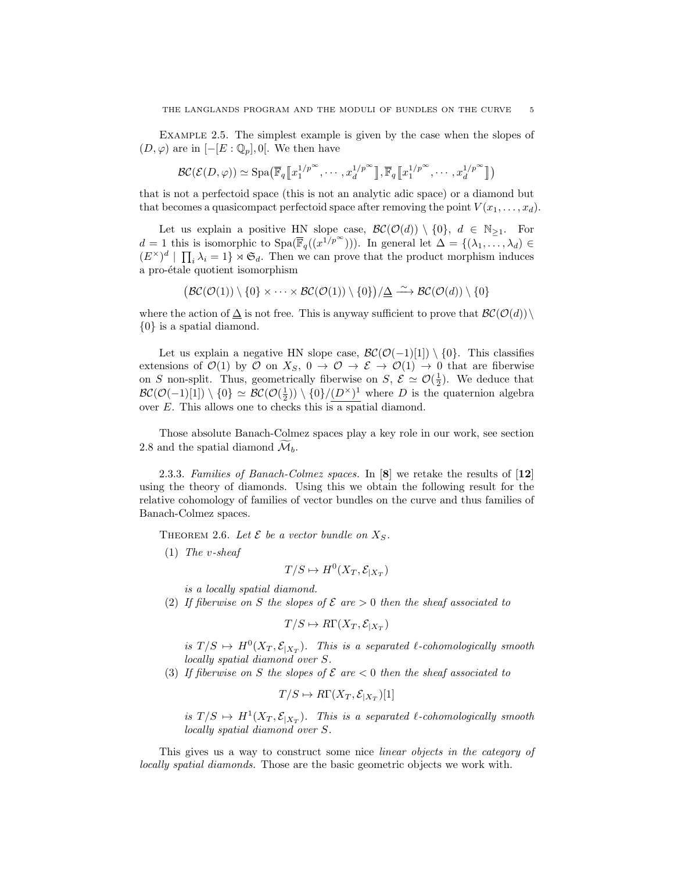Example 2.5. The simplest example is given by the case when the slopes of  $(D, \varphi)$  are in  $[-[E:\mathbb{Q}_p], 0]$ . We then have

$$
\mathcal{BC}(\mathcal{E}(D,\varphi)) \simeq \mathrm{Spa}\big(\overline{\mathbb{F}}_q \big[\!\!\big[\!\!\big[x_1^{1/p^\infty},\cdots,x_d^{1/p^\infty}\big]\!\!\big],\overline{\mathbb{F}}_q \big[\!\!\big[\!\!\big[x_1^{1/p^\infty},\cdots,x_d^{1/p^\infty}\big]\!\!\big]\big)
$$

that is not a perfectoid space (this is not an analytic adic space) or a diamond but that becomes a quasicompact perfectoid space after removing the point  $V(x_1, \ldots, x_d)$ .

Let us explain a positive HN slope case,  $\mathcal{BC}(\mathcal{O}(d)) \setminus \{0\}$ ,  $d \in \mathbb{N}_{\geq 1}$ . For  $d = 1$  this is isomorphic to  $Spa(\overline{\mathbb{F}}_q((x^1/p^{\infty})))$ . In general let  $\Delta = \{(\lambda_1, \ldots, \lambda_d) \in$  $(E^{\times})^d$  |  $\prod_i \lambda_i = 1$  |  $\mathfrak{S}_d$ . Then we can prove that the product morphism induces a pro-étale quotient isomorphism

$$
(\mathcal{BC}(\mathcal{O}(1)) \setminus \{0\} \times \cdots \times \mathcal{BC}(\mathcal{O}(1)) \setminus \{0\})/\underline{\Delta} \xrightarrow{\sim} \mathcal{BC}(\mathcal{O}(d)) \setminus \{0\}
$$

where the action of  $\Delta$  is not free. This is anyway sufficient to prove that  $\mathcal{BC}(\mathcal{O}(d))\setminus$ {0} is a spatial diamond.

Let us explain a negative HN slope case,  $\mathcal{BC}(\mathcal{O}(-1)[1]) \setminus \{0\}$ . This classifies extensions of  $\mathcal{O}(1)$  by  $\mathcal O$  on  $X_S$ ,  $0 \to \mathcal O \to \mathcal E \to \mathcal O(1) \to 0$  that are fiberwise on S non-split. Thus, geometrically fiberwise on S,  $\mathcal{E} \simeq \mathcal{O}(\frac{1}{2})$ . We deduce that  $BC(\mathcal{O}(-1)[1]) \setminus \{0\} \simeq BC(\mathcal{O}(\frac{1}{2})) \setminus \{0\}/(\underline{D^{\times}})^{1}$  where D is the quaternion algebra over  $E$ . This allows one to checks this is a spatial diamond.

Those absolute Banach-Colmez spaces play a key role in our work, see section 2.8 and the spatial diamond  $\mathcal{M}_{b}$ .

2.3.3. Families of Banach-Colmez spaces. In [8] we retake the results of [12] using the theory of diamonds. Using this we obtain the following result for the relative cohomology of families of vector bundles on the curve and thus families of Banach-Colmez spaces.

THEOREM 2.6. Let  $\mathcal E$  be a vector bundle on  $X_S$ .

(1) The v-sheaf

$$
T/S \mapsto H^0(X_T, \mathcal{E}_{|X_T})
$$

is a locally spatial diamond.

(2) If fiberwise on S the slopes of  $\mathcal E$  are  $> 0$  then the sheaf associated to

$$
T/S \mapsto R\Gamma(X_T, \mathcal{E}_{|X_T})
$$

is  $T/S \mapsto H^0(X_T, \mathcal{E}_{|X_T})$ . This is a separated  $\ell$ -cohomologically smooth locally spatial diamond over S.

(3) If fiberwise on S the slopes of  $\mathcal E$  are  $\lt 0$  then the sheaf associated to

$$
T/S \mapsto R\Gamma(X_T, \mathcal{E}_{|X_T})[1]
$$

is  $T/S \mapsto H^1(X_T, \mathcal{E}_{|X_T})$ . This is a separated  $\ell$ -cohomologically smooth locally spatial diamond over S.

This gives us a way to construct some nice *linear objects in the category of* locally spatial diamonds. Those are the basic geometric objects we work with.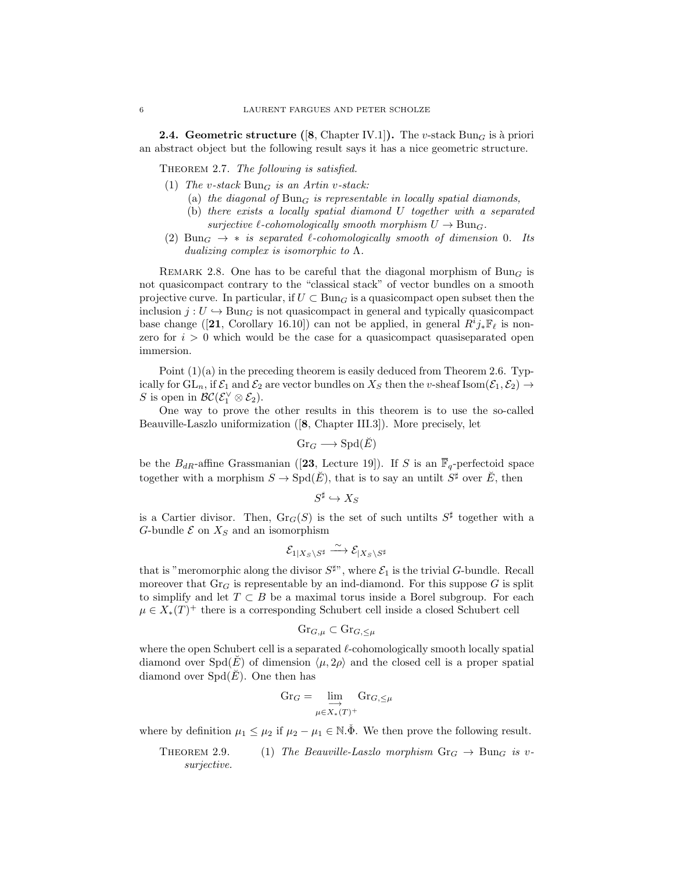**2.4. Geometric structure ([8, Chapter IV.1]).** The v-stack Bun<sub>G</sub> is a priori an abstract object but the following result says it has a nice geometric structure.

THEOREM 2.7. The following is satisfied.

- (1) The v-stack  $Bun_G$  is an Artin v-stack:
	- (a) the diagonal of  $Bun_G$  is representable in locally spatial diamonds,
	- (b) there exists a locally spatial diamond U together with a separated surjective  $\ell$ -cohomologically smooth morphism  $U \to \text{Bun}_G$ .
- (2) Bun<sub>G</sub>  $\rightarrow$  \* is separated  $\ell$ -cohomologically smooth of dimension 0. Its dualizing complex is isomorphic to  $\Lambda$ .

REMARK 2.8. One has to be careful that the diagonal morphism of Bun<sub>G</sub> is not quasicompact contrary to the "classical stack" of vector bundles on a smooth projective curve. In particular, if  $U \subset \text{Bun}_G$  is a quasicompact open subset then the inclusion  $j: U \hookrightarrow \text{Bun}_G$  is not quasicompact in general and typically quasicompact base change ([21, Corollary 16.10]) can not be applied, in general  $R^i j_* \mathbb{F}_\ell$  is nonzero for  $i > 0$  which would be the case for a quasicompact quasiseparated open immersion.

Point  $(1)(a)$  in the preceding theorem is easily deduced from Theorem 2.6. Typically for  $GL_n$ , if  $\mathcal{E}_1$  and  $\mathcal{E}_2$  are vector bundles on  $X_S$  then the v-sheaf Isom $(\mathcal{E}_1, \mathcal{E}_2) \to$ S is open in  $\mathcal{BC}(\mathcal{E}_1^{\vee} \otimes \mathcal{E}_2)$ .

One way to prove the other results in this theorem is to use the so-called Beauville-Laszlo uniformization ([8, Chapter III.3]). More precisely, let

$$
\mathrm{Gr}_G \longrightarrow \mathrm{Spd}(\breve{E})
$$

be the  $B_{dR}$ -affine Grassmanian ([23, Lecture 19]). If S is an  $\overline{\mathbb{F}}_q$ -perfectoid space together with a morphism  $S \to \text{Spd}(\breve{E})$ , that is to say an untilt  $S^{\sharp}$  over  $\breve{E}$ , then

$$
S^\sharp \hookrightarrow X_S
$$

is a Cartier divisor. Then,  $\text{Gr}_G(S)$  is the set of such untilts  $S^{\sharp}$  together with a G-bundle  $\mathcal E$  on  $X_S$  and an isomorphism

$$
\mathcal{E}_{1|X_S \backslash S^{\sharp}} \xrightarrow{\sim} \mathcal{E}_{|X_S \backslash S^{\sharp}}
$$

that is "meromorphic along the divisor  $S^{\sharp}$ ", where  $\mathcal{E}_1$  is the trivial G-bundle. Recall moreover that  $\text{Gr}_G$  is representable by an ind-diamond. For this suppose G is split to simplify and let  $T \subset B$  be a maximal torus inside a Borel subgroup. For each  $\mu \in X_*(T)^+$  there is a corresponding Schubert cell inside a closed Schubert cell

$$
\mathrm{Gr}_{G,\mu}\subset\mathrm{Gr}_{G,\leq\mu}
$$

where the open Schubert cell is a separated  $\ell$ -cohomologically smooth locally spatial diamond over  $Spd(E)$  of dimension  $\langle \mu, 2\rho \rangle$  and the closed cell is a proper spatial diamond over  $Spd(\overline{E})$ . One then has

$$
\mathrm{Gr}_G = \varinjlim_{\mu \in X_*(T)^+} \mathrm{Gr}_{G,\leq \mu}
$$

where by definition  $\mu_1 \leq \mu_2$  if  $\mu_2 - \mu_1 \in \mathbb{N}$ . We then prove the following result.

THEOREM 2.9. (1) The Beauville-Laszlo morphism 
$$
Gr_G \to Bun_G
$$
 is v-surjective.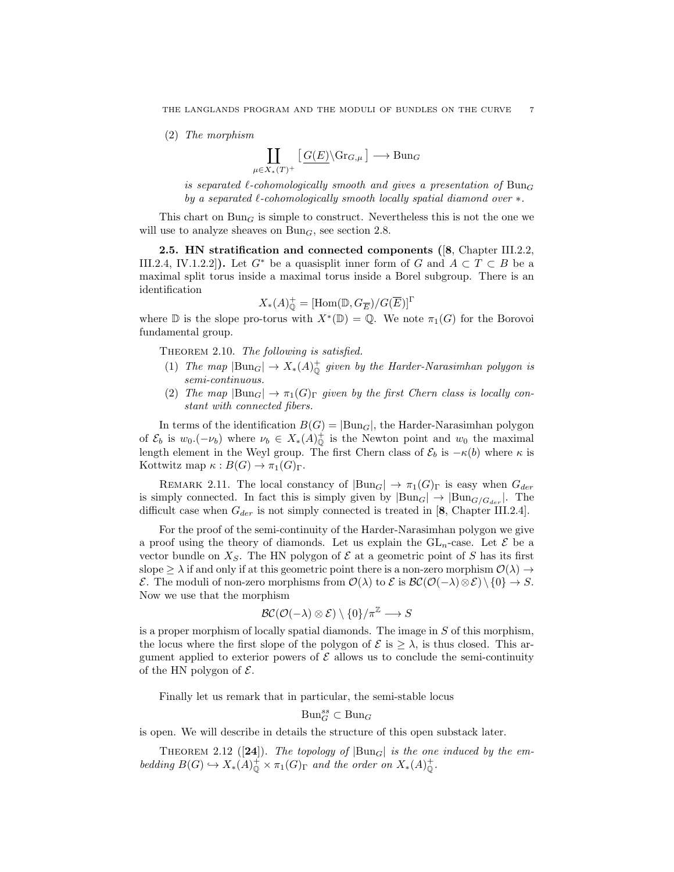(2) The morphism

$$
\coprod_{X_*(T)^+} \left[ \underline{G(E)} \backslash \mathrm{Gr}_{G,\mu} \right] \longrightarrow \mathrm{Bun}_G
$$

is separated l-cohomologically smooth and gives a presentation of  $Bun_G$ by a separated  $\ell$ -cohomologically smooth locally spatial diamond over  $*$ .

This chart on  $Bun_G$  is simple to construct. Nevertheless this is not the one we will use to analyze sheaves on  $Bun<sub>G</sub>$ , see section 2.8.

2.5. HN stratification and connected components ([8, Chapter III.2.2, III.2.4, IV.1.2.2]). Let  $G^*$  be a quasisplit inner form of G and  $A \subset T \subset B$  be a maximal split torus inside a maximal torus inside a Borel subgroup. There is an identification

$$
X_*(A)^+_{\mathbb{Q}}=[\mathrm{Hom}(\mathbb{D}, G_{\overline{E}})/G(\overline{E})]^{\Gamma}
$$

where  $\mathbb D$  is the slope pro-torus with  $X^*(\mathbb D) = \mathbb Q$ . We note  $\pi_1(G)$  for the Borovoi fundamental group.

THEOREM 2.10. The following is satisfied.

 $\mu \in$ 

- (1) The map  $|\text{Bun}_G| \to X_*(A)^+_{\mathbb{Q}}$  given by the Harder-Narasimhan polygon is semi-continuous.
- (2) The map  $|\text{Bun}_G| \to \pi_1(G)$ <sub>Γ</sub> given by the first Chern class is locally constant with connected fibers.

In terms of the identification  $B(G) = |Bun_G|$ , the Harder-Narasimhan polygon of  $\mathcal{E}_b$  is  $w_0.(-\nu_b)$  where  $\nu_b \in X_*(A)_{\mathbb{Q}}^+$  is the Newton point and  $w_0$  the maximal length element in the Weyl group. The first Chern class of  $\mathcal{E}_b$  is  $-\kappa(b)$  where  $\kappa$  is Kottwitz map  $\kappa : B(G) \to \pi_1(G)_{\Gamma}$ .

REMARK 2.11. The local constancy of  $|\text{Bun}_G| \to \pi_1(G)$ <sub>Γ</sub> is easy when  $G_{der}$ is simply connected. In fact this is simply given by  $|Bun_G| \to |Bun_{G/G_{der}}|$ . The difficult case when  $G_{der}$  is not simply connected is treated in [8, Chapter III.2.4].

For the proof of the semi-continuity of the Harder-Narasimhan polygon we give a proof using the theory of diamonds. Let us explain the  $GL_n$ -case. Let  $\mathcal E$  be a vector bundle on  $X_S$ . The HN polygon of  $\mathcal E$  at a geometric point of S has its first slope  $\geq \lambda$  if and only if at this geometric point there is a non-zero morphism  $\mathcal{O}(\lambda) \to$ E. The moduli of non-zero morphisms from  $\mathcal{O}(\lambda)$  to E is  $\mathcal{BC}(\mathcal{O}(-\lambda) \otimes \mathcal{E}) \setminus \{0\} \to S$ . Now we use that the morphism

$$
\mathcal{BC}(\mathcal{O}(-\lambda) \otimes \mathcal{E}) \setminus \{0\}/\pi^{\mathbb{Z}} \longrightarrow S
$$

is a proper morphism of locally spatial diamonds. The image in S of this morphism, the locus where the first slope of the polygon of  $\mathcal{E}$  is  $\geq \lambda$ , is thus closed. This argument applied to exterior powers of  $\mathcal E$  allows us to conclude the semi-continuity of the HN polygon of  $\mathcal{E}$ .

Finally let us remark that in particular, the semi-stable locus

$$
\mathrm{Bun}_G^{ss}\subset \mathrm{Bun}_G
$$

is open. We will describe in details the structure of this open substack later.

THEOREM 2.12 ([24]). The topology of  $|Bun_G|$  is the one induced by the embedding  $B(G) \hookrightarrow X_*(A)_0^+ \times \pi_1(G)_{\Gamma}$  and the order on  $X_*(A)_0^+$ .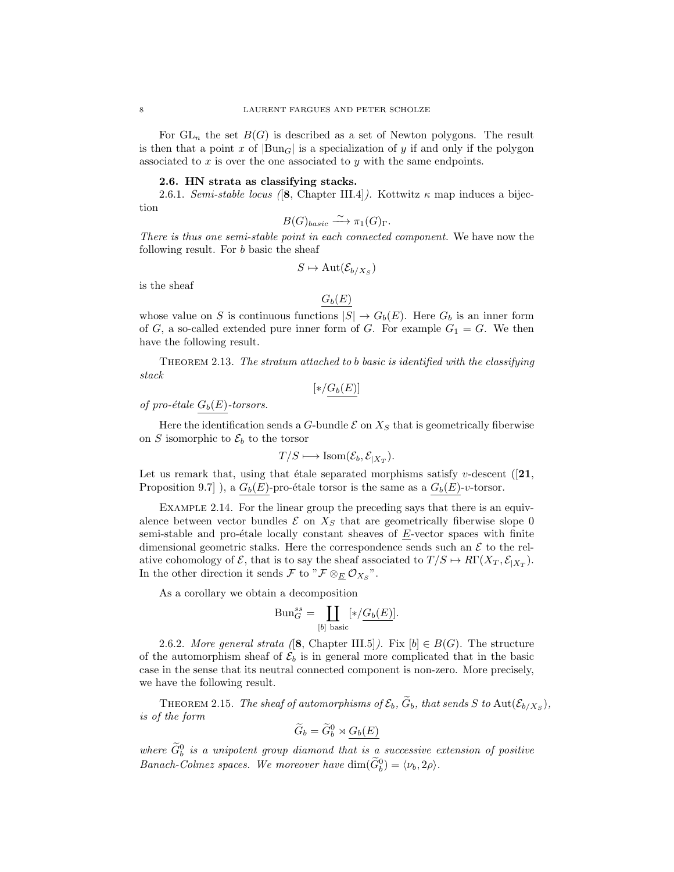For  $GL_n$  the set  $B(G)$  is described as a set of Newton polygons. The result is then that a point x of  $\left|\text{Bun}_G\right|$  is a specialization of y if and only if the polygon associated to  $x$  is over the one associated to  $y$  with the same endpoints.

#### 2.6. HN strata as classifying stacks.

2.6.1. Semi-stable locus ([8, Chapter III.4]). Kottwitz  $\kappa$  map induces a bijection

$$
B(G)_{basic} \xrightarrow{\sim} \pi_1(G)_{\Gamma}.
$$

There is thus one semi-stable point in each connected component. We have now the following result. For b basic the sheaf

$$
S \mapsto \mathrm{Aut}(\mathcal{E}_{b/X_S})
$$

is the sheaf

$$
G_b(E)
$$

whose value on S is continuous functions  $|S| \to G_b(E)$ . Here  $G_b$  is an inner form of G, a so-called extended pure inner form of G. For example  $G_1 = G$ . We then have the following result.

THEOREM 2.13. The stratum attached to b basic is identified with the classifying stack

$$
[\ast/G_b(E)]
$$

of pro-étale  $G_b(E)$ -torsors.

Here the identification sends a G-bundle  $\mathcal E$  on  $X_S$  that is geometrically fiberwise on S isomorphic to  $\mathcal{E}_b$  to the torsor

$$
T/S \longmapsto \text{Isom}(\mathcal{E}_b, \mathcal{E}_{|X_T}).
$$

Let us remark that, using that étale separated morphisms satisfy v-descent  $(21, 1)$ Proposition 9.7] ), a  $G_b(E)$ -pro-étale torsor is the same as a  $G_b(E)$ -v-torsor.

Example 2.14. For the linear group the preceding says that there is an equivalence between vector bundles  $\mathcal E$  on  $X_S$  that are geometrically fiberwise slope 0 semi-stable and pro-étale locally constant sheaves of  $E$ -vector spaces with finite dimensional geometric stalks. Here the correspondence sends such an  $\mathcal E$  to the relative cohomology of  $\mathcal{E}$ , that is to say the sheaf associated to  $T/S \mapsto R\Gamma(X_T, \mathcal{E}_{|X_T})$ . In the other direction it sends  $\mathcal{F}$  to " $\mathcal{F} \otimes_{\underline{E}} \mathcal{O}_{X_S}$ ".

As a corollary we obtain a decomposition

$$
\mathrm{Bun}_G^{ss} = \coprod_{[b] \text{ basic}} [\ast / \underline{G_b(E)}].
$$

2.6.2. More general strata ([8, Chapter III.5]). Fix  $[b] \in B(G)$ . The structure of the automorphism sheaf of  $\mathcal{E}_b$  is in general more complicated that in the basic case in the sense that its neutral connected component is non-zero. More precisely, we have the following result.

THEOREM 2.15. The sheaf of automorphisms of  $\mathcal{E}_b$ ,  $\widetilde{G}_b$ , that sends S to Aut $(\mathcal{E}_{b/X_S})$ , is of the form

$$
\widetilde{G}_b = \widetilde{G}_b^0 \rtimes \underline{G_b(E)}
$$

where  $\tilde{G}_{b}^{0}$  is a unipotent group diamond that is a successive extension of positive Banach-Colmez spaces. We moreover have  $\dim(\widetilde{G}_b^0) = \langle \nu_b, 2\rho \rangle$ .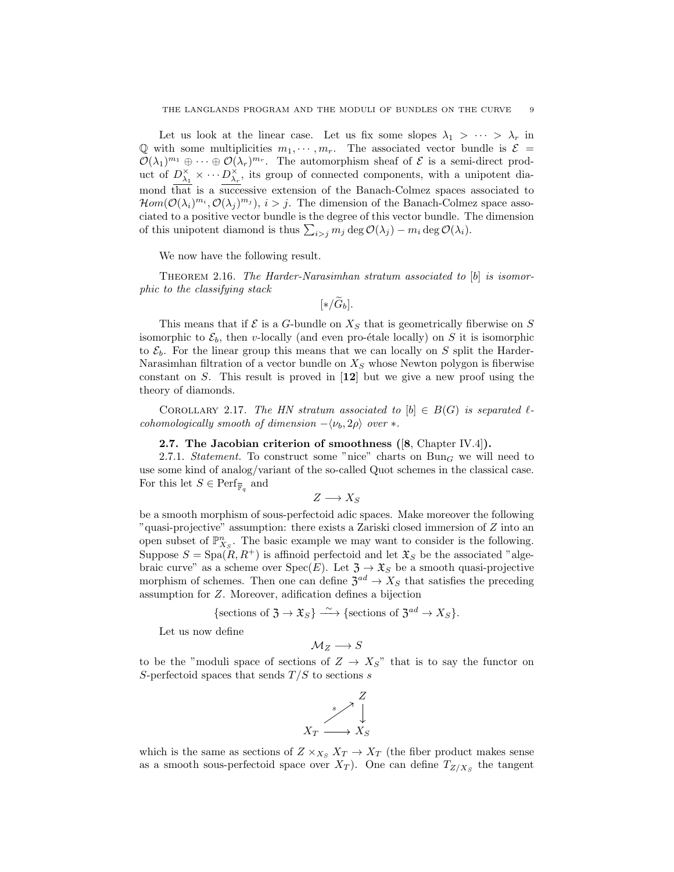Let us look at the linear case. Let us fix some slopes  $\lambda_1 > \cdots > \lambda_r$  in Q with some multiplicities  $m_1, \dots, m_r$ . The associated vector bundle is  $\mathcal{E} =$  $\mathcal{O}(\lambda_1)^{m_1} \oplus \cdots \oplus \mathcal{O}(\lambda_r)^{m_r}$ . The automorphism sheaf of  $\mathcal E$  is a semi-direct product of  $D_{\lambda_1}^{\times} \times \cdots D_{\lambda_r}^{\times}$ , its group of connected components, with a unipotent diamond that is a successive extension of the Banach-Colmez spaces associated to  $Hom(O(\lambda_i)^{m_i}, O(\lambda_j)^{m_j}), i > j$ . The dimension of the Banach-Colmez space associated to a positive vector bundle is the degree of this vector bundle. The dimension of this unipotent diamond is thus  $\sum_{i>j} m_j \deg \mathcal{O}(\lambda_i) - m_i \deg \mathcal{O}(\lambda_i)$ .

We now have the following result.

THEOREM 2.16. The Harder-Narasimhan stratum associated to [b] is isomorphic to the classifying stack

 $[\ast/\widetilde{G}_b].$ 

This means that if  $\mathcal E$  is a G-bundle on  $X_S$  that is geometrically fiberwise on S isomorphic to  $\mathcal{E}_b$ , then v-locally (and even pro-étale locally) on S it is isomorphic to  $\mathcal{E}_b$ . For the linear group this means that we can locally on S split the Harder-Narasimhan filtration of a vector bundle on  $X<sub>S</sub>$  whose Newton polygon is fiberwise constant on S. This result is proved in  $\mathbf{12}$  but we give a new proof using the theory of diamonds.

COROLLARY 2.17. The HN stratum associated to  $[b] \in B(G)$  is separated  $\ell$ cohomologically smooth of dimension  $-\langle \nu_b, 2\rho \rangle$  over  $*$ .

#### 2.7. The Jacobian criterion of smoothness  $([8, Chapter IV.4])$ .

2.7.1. Statement. To construct some "nice" charts on  $Bun_G$  we will need to use some kind of analog/variant of the so-called Quot schemes in the classical case. For this let  $S \in \operatorname{Perf}_{\overline{\mathbb{F}}_q}$  and

$$
Z \longrightarrow X_S
$$

be a smooth morphism of sous-perfectoid adic spaces. Make moreover the following "quasi-projective" assumption: there exists a Zariski closed immersion of Z into an open subset of  $\mathbb{P}_{X_S}^n$ . The basic example we may want to consider is the following. Suppose  $S = \text{Spa}(R, R^+)$  is affinoid perfectoid and let  $\mathfrak{X}_S$  be the associated "algebraic curve" as a scheme over  $Spec(E)$ . Let  $\mathfrak{Z} \to \mathfrak{X}_S$  be a smooth quasi-projective morphism of schemes. Then one can define  $\mathfrak{Z}^{ad} \to X_S$  that satisfies the preceding assumption for Z. Moreover, adification defines a bijection

{sections of 
$$
\mathfrak{Z} \to \mathfrak{X}_S
$$
}  $\xrightarrow{\sim}$  {sections of  $\mathfrak{Z}^{ad} \to X_S$  }.

Let us now define

$$
\mathcal{M}_Z \longrightarrow S
$$

to be the "moduli space of sections of  $Z \to X_{S}$ " that is to say the functor on S-perfectoid spaces that sends  $T/S$  to sections s



which is the same as sections of  $Z \times_{X_S} X_T \to X_T$  (the fiber product makes sense as a smooth sous-perfectoid space over  $X_T$ ). One can define  $T_{Z/X_S}$  the tangent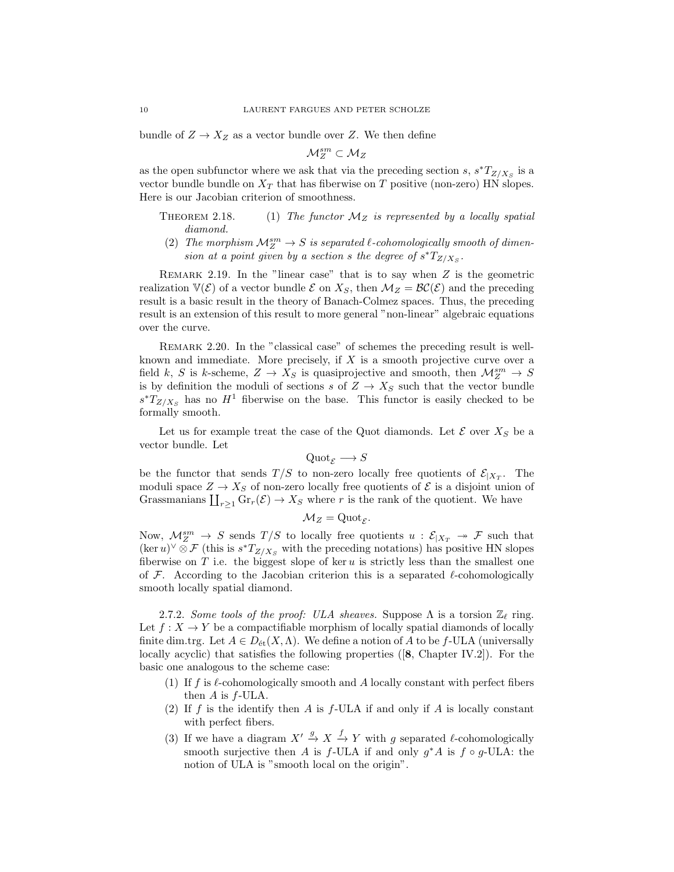bundle of  $Z \to X_Z$  as a vector bundle over Z. We then define

$$
\mathcal{M}_Z^{sm}\subset \mathcal{M}_Z
$$

as the open subfunctor where we ask that via the preceding section s,  $s^*T_{Z/X_S}$  is a vector bundle bundle on  $X_T$  that has fiberwise on T positive (non-zero) HN slopes. Here is our Jacobian criterion of smoothness.

- THEOREM 2.18. (1) The functor  $\mathcal{M}_Z$  is represented by a locally spatial diamond.
	- (2) The morphism  $\mathcal{M}_Z^{sm} \to S$  is separated  $\ell$ -cohomologically smooth of dimension at a point given by a section s the degree of  $s^*T_{Z/X_S}$ .

REMARK 2.19. In the "linear case" that is to say when  $Z$  is the geometric realization  $\mathbb{V}(\mathcal{E})$  of a vector bundle  $\mathcal{E}$  on  $X_S$ , then  $\mathcal{M}_Z = \mathcal{BC}(\mathcal{E})$  and the preceding result is a basic result in the theory of Banach-Colmez spaces. Thus, the preceding result is an extension of this result to more general "non-linear" algebraic equations over the curve.

Remark 2.20. In the "classical case" of schemes the preceding result is wellknown and immediate. More precisely, if  $X$  is a smooth projective curve over a field k, S is k-scheme,  $Z \to X_S$  is quasiprojective and smooth, then  $\mathcal{M}_Z^{sm} \to S$ is by definition the moduli of sections s of  $Z \rightarrow X_S$  such that the vector bundle  $s^*T_{Z/X_S}$  has no  $H^1$  fiberwise on the base. This functor is easily checked to be formally smooth.

Let us for example treat the case of the Quot diamonds. Let  $\mathcal E$  over  $X_S$  be a vector bundle. Let

$$
\mathrm{Quot}_{\mathcal{E}} \longrightarrow S
$$

be the functor that sends  $T/S$  to non-zero locally free quotients of  $\mathcal{E}_{|X_T}$ . The moduli space  $Z \to X_S$  of non-zero locally free quotients of  $\mathcal E$  is a disjoint union of Grassmanians  $\coprod_{r\geq 1} \text{Gr}_r(\mathcal{E}) \to X_S$  where r is the rank of the quotient. We have

$$
\mathcal{M}_Z = \mathrm{Quot}_{\mathcal{E}}.
$$

Now,  $\mathcal{M}_Z^{sm} \to S$  sends  $T/S$  to locally free quotients  $u : \mathcal{E}_{|X_T} \to \mathcal{F}$  such that  $(\ker u)^\vee \otimes \mathcal{F}$  (this is  $s^*T_{Z/X_S}$  with the preceding notations) has positive HN slopes fiberwise on  $T$  i.e. the biggest slope of ker  $u$  is strictly less than the smallest one of F. According to the Jacobian criterion this is a separated  $\ell$ -cohomologically smooth locally spatial diamond.

2.7.2. Some tools of the proof: ULA sheaves. Suppose  $\Lambda$  is a torsion  $\mathbb{Z}_\ell$  ring. Let  $f: X \to Y$  be a compactifiable morphism of locally spatial diamonds of locally finite dim.trg. Let  $A \in D_{\text{\'et}}(X,\Lambda)$ . We define a notion of A to be f-ULA (universally locally acyclic) that satisfies the following properties ([8, Chapter IV.2]). For the basic one analogous to the scheme case:

- (1) If f is  $\ell$ -cohomologically smooth and A locally constant with perfect fibers then  $A$  is  $f$ -ULA.
- (2) If f is the identify then A is  $f$ -ULA if and only if A is locally constant with perfect fibers.
- (3) If we have a diagram  $X' \stackrel{g}{\rightarrow} X \stackrel{f}{\rightarrow} Y$  with g separated  $\ell$ -cohomologically smooth surjective then A is  $f$ -ULA if and only  $g^*A$  is  $f \circ g$ -ULA: the notion of ULA is "smooth local on the origin".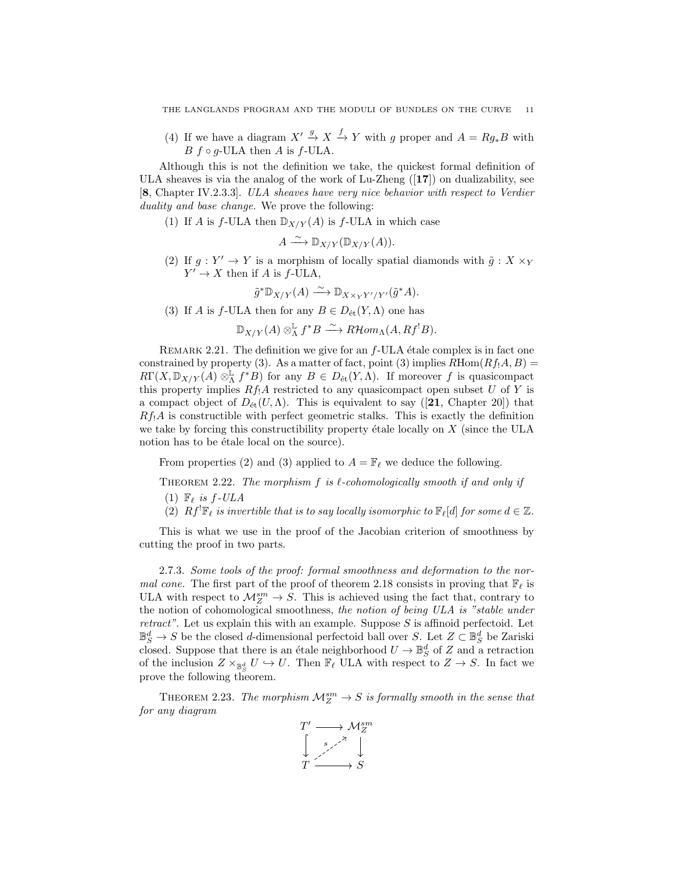(4) If we have a diagram  $X' \stackrel{g}{\rightarrow} X \stackrel{f}{\rightarrow} Y$  with g proper and  $A = Rg_*B$  with  $B f \circ g$ -ULA then A is f-ULA.

Although this is not the definition we take, the quickest formal definition of ULA sheaves is via the analog of the work of Lu-Zheng  $(17)$  on dualizability, see [8, Chapter IV.2.3.3]. ULA sheaves have very nice behavior with respect to Verdier duality and base change. We prove the following:

(1) If A is f-ULA then  $\mathbb{D}_{X/Y}(A)$  is f-ULA in which case

$$
A \xrightarrow{\sim} \mathbb{D}_{X/Y}(\mathbb{D}_{X/Y}(A)).
$$

(2) If  $g: Y' \to Y$  is a morphism of locally spatial diamonds with  $\tilde{g}: X \times_Y Y'$  $Y' \to X$  then if A is f-ULA,

$$
\tilde{g}^* \mathbb{D}_{X/Y}(A) \xrightarrow{\sim} \mathbb{D}_{X \times_Y Y'/Y'}(\tilde{g}^* A).
$$

(3) If A is f-ULA then for any  $B \in D_{\text{\'et}}(Y, \Lambda)$  one has

 $\mathbb{D}_{X/Y}(A) \otimes^{\mathbb{L}}_\Lambda f^*B \stackrel{\sim}{\longrightarrow} R\mathcal{H}om_{\Lambda}(A,Rf^!B).$ 

REMARK 2.21. The definition we give for an  $f$ -ULA étale complex is in fact one constrained by property (3). As a matter of fact, point (3) implies  $R\text{Hom}(Rf_1A, B)$  =  $R\Gamma(X, \mathbb{D}_{X/Y}(A) \otimes^{\mathbb{L}}_{\Lambda} f^*B)$  for any  $B \in D_{\text{\'et}}(Y, \Lambda)$ . If moreover f is quasicompact this property implies  $Rf_1A$  restricted to any quasicompact open subset U of Y is a compact object of  $D_{\text{\'et}}(U,\Lambda)$ . This is equivalent to say ([21, Chapter 20]) that  $Rf_1A$  is constructible with perfect geometric stalks. This is exactly the definition we take by forcing this constructibility property étale locally on  $X$  (since the ULA notion has to be étale local on the source).

From properties (2) and (3) applied to  $A = \mathbb{F}_{\ell}$  we deduce the following.

THEOREM 2.22. The morphism f is  $\ell$ -cohomologically smooth if and only if (1)  $\mathbb{F}_{\ell}$  is f-ULA

(2)  $Rf^{\dagger}\mathbb{F}_{\ell}$  is invertible that is to say locally isomorphic to  $\mathbb{F}_{\ell}[d]$  for some  $d \in \mathbb{Z}$ .

This is what we use in the proof of the Jacobian criterion of smoothness by cutting the proof in two parts.

2.7.3. Some tools of the proof: formal smoothness and deformation to the nor*mal cone.* The first part of the proof of theorem 2.18 consists in proving that  $\mathbb{F}_{\ell}$  is ULA with respect to  $\mathcal{M}_Z^{sm} \to S$ . This is achieved using the fact that, contrary to the notion of cohomological smoothness, the notion of being ULA is "stable under *retract"*. Let us explain this with an example. Suppose  $S$  is affinoid perfectoid. Let  $\mathbb{B}^d_S \to S$  be the closed *d*-dimensional perfectoid ball over S. Let  $Z \subset \mathbb{B}^d_S$  be Zariski closed. Suppose that there is an étale neighborhood  $U \to \mathbb{B}^d_S$  of Z and a retraction of the inclusion  $Z \times_{\mathbb{B}^d_S} U \hookrightarrow U$ . Then  $\mathbb{F}_{\ell}$  ULA with respect to  $Z \to S$ . In fact we prove the following theorem.

THEOREM 2.23. The morphism  $\mathcal{M}_Z^{sm} \to S$  is formally smooth in the sense that for any diagram

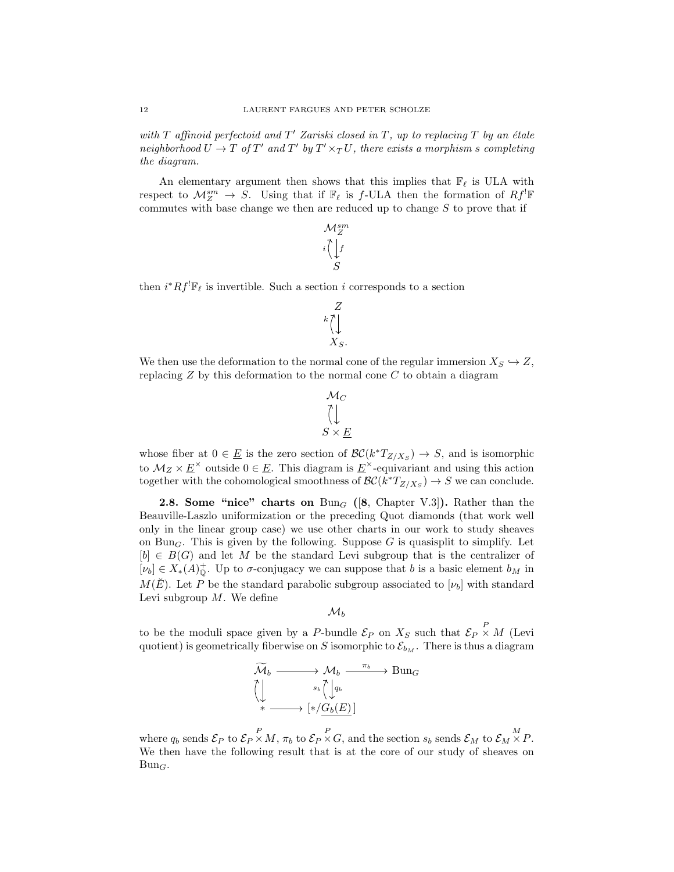with  $T$  affinoid perfectoid and  $T'$  Zariski closed in  $T$ , up to replacing  $T$  by an étale neighborhood  $U \to T$  of  $T'$  and  $T'$  by  $T' \times_T U$ , there exists a morphism s completing the diagram.

An elementary argument then shows that this implies that  $\mathbb{F}_\ell$  is ULA with respect to  $\mathcal{M}_Z^{sm} \to \overline{S}$ . Using that if  $\mathbb{F}_\ell$  is f-ULA then the formation of  $Rf^! \mathbb{F}$ commutes with base change we then are reduced up to change  $S$  to prove that if

$$
\begin{matrix} \mathcal{M}_{Z}^{sm} \\ i \left( \bigcup_{S} f \right. \end{matrix}
$$

then  $i^*Rf^!{\mathbb{F}}_{\ell}$  is invertible. Such a section i corresponds to a section

$$
k\bigwedge^Z\limits_{X_S.}
$$

We then use the deformation to the normal cone of the regular immersion  $X_S \hookrightarrow Z$ , replacing  $Z$  by this deformation to the normal cone  $C$  to obtain a diagram

$$
\mathcal{M}_C
$$
  

$$
\bigcup_{S \times E} \mathcal{M}
$$

whose fiber at  $0 \in \underline{E}$  is the zero section of  $\mathcal{BC}(k^*T_{Z/X_S}) \to S$ , and is isomorphic to  $M_Z \times \underline{E}^{\times}$  outside  $0 \in \underline{E}$ . This diagram is  $\underline{E}^{\times}$ -equivariant and using this action together with the cohomological smoothness of  $\mathcal{BC}(k^*T_{Z/X_S}) \to S$  we can conclude.

**2.8. Some "nice" charts on** Bun<sub>G</sub> ([8, Chapter V.3]). Rather than the Beauville-Laszlo uniformization or the preceding Quot diamonds (that work well only in the linear group case) we use other charts in our work to study sheaves on Bun<sub>G</sub>. This is given by the following. Suppose G is quasisplit to simplify. Let  $[b] \in B(G)$  and let M be the standard Levi subgroup that is the centralizer of  $[\nu_b] \in X_*(A)_0^+$ . Up to  $\sigma$ -conjugacy we can suppose that b is a basic element  $b_M$  in  $M(E)$ . Let P be the standard parabolic subgroup associated to  $[\nu_b]$  with standard Levi subgroup  $M$ . We define

 $\mathcal{M}_b$ 

to be the moduli space given by a P-bundle  $\mathcal{E}_P$  on  $X_S$  such that  $\mathcal{E}_P \times M$  (Levi quotient) is geometrically fiberwise on S isomorphic to  $\mathcal{E}_{b_M}$ . There is thus a diagram

$$
\widetilde{\mathcal{M}}_b \longrightarrow \mathcal{M}_b \xrightarrow{\pi_b} \operatorname{Bun}_G
$$
\n
$$
\left(\bigcup_{\mathbf{w}} s_b \widetilde{\left(\bigcup_{q_b} q_b\right)} \left[\mathbf{w}_b\right] \right)
$$

where  $q_b$  sends  $\mathcal{E}_P$  to  $\mathcal{E}_P \times M$ ,  $\pi_b$  to  $\mathcal{E}_P \times G$ , and the section  $s_b$  sends  $\mathcal{E}_M$  to  $\mathcal{E}_M \times P$ . We then have the following result that is at the core of our study of sheaves on  $Bun_G$ .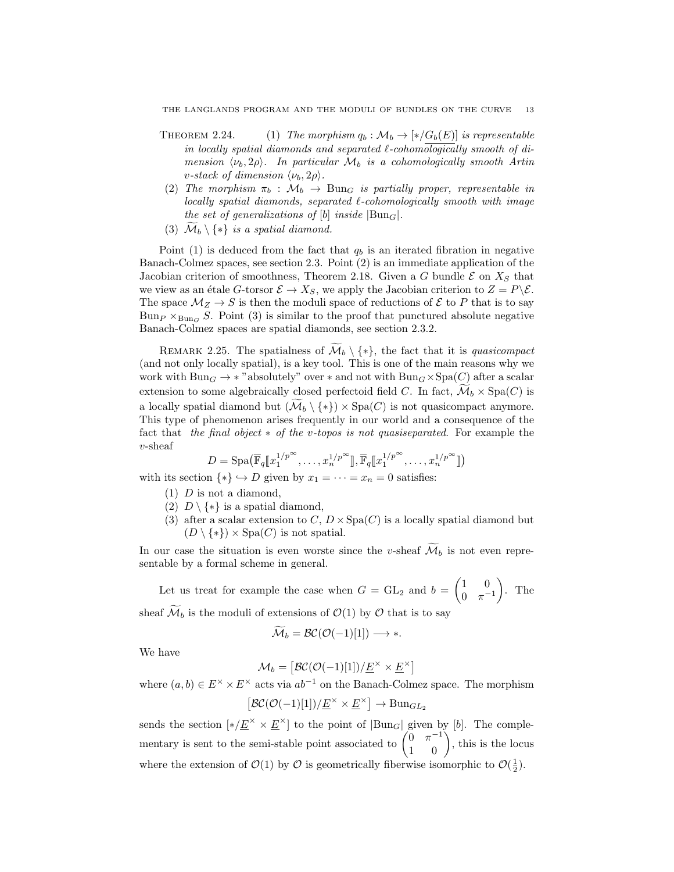- THEOREM 2.24. (1) The morphism  $q_b : \mathcal{M}_b \to [*/G_b(E)]$  is representable in locally spatial diamonds and separated  $\ell$ -cohomologically smooth of dimension  $\langle \nu_b, 2\rho \rangle$ . In particular  $\mathcal{M}_b$  is a cohomologically smooth Artin v-stack of dimension  $\langle \nu_b, 2\rho \rangle$ .
- (2) The morphism  $\pi_b : \mathcal{M}_b \to \text{Bun}_G$  is partially proper, representable in  $locally$  spatial diamonds, separated  $\ell$ -cohomologically smooth with image the set of generalizations of [b] inside  $|Bun_G|$ .
- (3)  $\mathcal{M}_b \setminus \{*\}$  is a spatial diamond.

Point (1) is deduced from the fact that  $q_b$  is an iterated fibration in negative Banach-Colmez spaces, see section 2.3. Point (2) is an immediate application of the Jacobian criterion of smoothness, Theorem 2.18. Given a G bundle  $\mathcal E$  on  $X_S$  that we view as an étale G-torsor  $\mathcal{E} \to X_S$ , we apply the Jacobian criterion to  $Z = P \backslash \mathcal{E}$ . The space  $\mathcal{M}_Z \to S$  is then the moduli space of reductions of  $\mathcal E$  to P that is to say Bun<sub>P</sub>  $\times_{\text{Bun}_G} S$ . Point (3) is similar to the proof that punctured absolute negative Banach-Colmez spaces are spatial diamonds, see section 2.3.2.

REMARK 2.25. The spatialness of  $\widetilde{\mathcal{M}}_b \setminus \{*\}$ , the fact that it is quasicompact (and not only locally spatial), is a key tool. This is one of the main reasons why we work with  $Bun_G \to *$  "absolutely" over  $*$  and not with  $Bun_G \times Spa(C)$  after a scalar extension to some algebraically closed perfectoid field C. In fact,  $\mathcal{M}_b \times \text{Spa}(C)$  is a locally spatial diamond but  $(\mathcal{M}_b \setminus \{*\}) \times \text{Spa}(C)$  is not quasicompact anymore. This type of phenomenon arises frequently in our world and a consequence of the fact that the final object ∗ of the v-topos is not quasiseparated. For example the v-sheaf

$$
D = \mathrm{Spa}\big(\overline{\mathbb{F}}_q[\![x_1^{1/p^\infty}, \dots, x_n^{1/p^\infty}]\!], \overline{\mathbb{F}}_q[\![x_1^{1/p^\infty}, \dots, x_n^{1/p^\infty}]\!]\big)
$$

with its section  $\{*\} \hookrightarrow D$  given by  $x_1 = \cdots = x_n = 0$  satisfies:

- $(1)$  D is not a diamond,
- (2)  $D \setminus \{*\}$  is a spatial diamond,
- (3) after a scalar extension to  $C, D \times \text{Spa}(C)$  is a locally spatial diamond but  $(D \setminus \{*\}) \times \text{Spa}(C)$  is not spatial.

In our case the situation is even worste since the v-sheaf  $\mathcal{M}_b$  is not even representable by a formal scheme in general.

Let us treat for example the case when  $G = GL_2$  and  $b = \begin{pmatrix} 1 & 0 \\ 0 & -1 \end{pmatrix}$  $0 \pi^{-1}$  $\Big)$ . The sheaf  $\widetilde{\mathcal{M}}_b$  is the moduli of extensions of  $\mathcal{O}(1)$  by  $\mathcal O$  that is to say

$$
\widetilde{\mathcal{M}}_b = \mathcal{BC}(\mathcal{O}(-1)[1]) \longrightarrow *.
$$

We have

$$
\mathcal{M}_b = \left[ \mathcal{BC}(\mathcal{O}(-1)[1]) / \underline{E}^\times \times \underline{E}^\times \right]
$$

where  $(a, b) \in E^{\times} \times E^{\times}$  acts via  $ab^{-1}$  on the Banach-Colmez space. The morphism

$$
[\mathcal{BC}(\mathcal{O}(-1)[1])/\underline{E}^{\times} \times \underline{E}^{\times}] \to \mathrm{Bun}_{GL_2}
$$

sends the section  $[*/\underline{E}^{\times} \times \underline{E}^{\times}]$  to the point of  $|\text{Bun}_G|$  given by [b]. The complementary is sent to the semi-stable point associated to  $\begin{pmatrix} 0 & \pi^{-1} \\ 1 & 0 \end{pmatrix}$ , this is the locus where the extension of  $\mathcal{O}(1)$  by  $\mathcal O$  is geometrically fiberwise isomorphic to  $\mathcal{O}(\frac{1}{2})$ . 1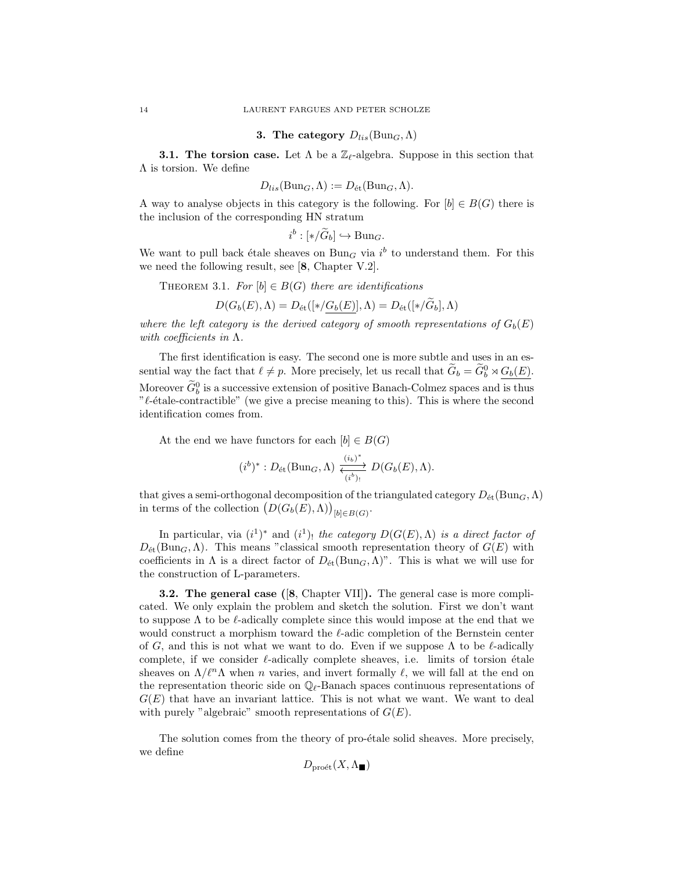#### 3. The category  $D_{lis}(\text{Bun}_G, \Lambda)$

**3.1. The torsion case.** Let  $\Lambda$  be a  $\mathbb{Z}_{\ell}$ -algebra. Suppose in this section that Λ is torsion. We define

$$
D_{lis}(\text{Bun}_G, \Lambda) := D_{\text{\'et}}(\text{Bun}_G, \Lambda).
$$

A way to analyse objects in this category is the following. For  $[b] \in B(G)$  there is the inclusion of the corresponding HN stratum

$$
i^b : [*/\widetilde{G}_b] \hookrightarrow \text{Bun}_G.
$$

We want to pull back étale sheaves on  $Bun_G$  via  $i^b$  to understand them. For this we need the following result, see [8, Chapter V.2].

THEOREM 3.1. For  $[b] \in B(G)$  there are identifications

$$
D(G_b(E), \Lambda) = D_{\text{\'et}}([*/\underline{G_b(E)}], \Lambda) = D_{\text{\'et}}([*/\hat{G}_b], \Lambda)
$$

where the left category is the derived category of smooth representations of  $G_b(E)$ with coefficients in  $\Lambda$ .

The first identification is easy. The second one is more subtle and uses in an essential way the fact that  $\ell \neq p$ . More precisely, let us recall that  $\widetilde{G}_b = \widetilde{G}_b^0 \rtimes \underline{G_b(E)}$ . Moreover  $\tilde{G}_b^0$  is a successive extension of positive Banach-Colmez spaces and is thus " $\ell$ -étale-contractible" (we give a precise meaning to this). This is where the second identification comes from.

At the end we have functors for each  $[b] \in B(G)$ 

$$
(i^b)^* : D_{\text{\'et}}(\text{Bun}_G, \Lambda) \xrightarrow{\frac{(i_b)^*}{(i^b)_{!}}} D(G_b(E), \Lambda).
$$

that gives a semi-orthogonal decomposition of the triangulated category  $D_{\text{\'et}}(\text{Bun}_G,\Lambda)$ in terms of the collection  $(D(G_b(E), \Lambda))_{[b] \in B(G)}$ .

In particular, via  $(i^1)^*$  and  $(i^1)$ , the category  $D(G(E), \Lambda)$  is a direct factor of  $D_{\text{\'et}}(\text{Bun}_G,\Lambda)$ . This means "classical smooth representation theory of  $G(E)$  with coefficients in  $\Lambda$  is a direct factor of  $D_{\text{\'et}}(\text{Bun}_G,\Lambda)$ ". This is what we will use for the construction of L-parameters.

3.2. The general case ([8, Chapter VII]). The general case is more complicated. We only explain the problem and sketch the solution. First we don't want to suppose  $\Lambda$  to be  $\ell$ -adically complete since this would impose at the end that we would construct a morphism toward the  $\ell$ -adic completion of the Bernstein center of G, and this is not what we want to do. Even if we suppose  $\Lambda$  to be  $\ell$ -adically complete, if we consider  $\ell$ -adically complete sheaves, i.e. limits of torsion étale sheaves on  $\Lambda/\ell^n\Lambda$  when n varies, and invert formally  $\ell$ , we will fall at the end on the representation theoric side on  $\mathbb{Q}_r$ -Banach spaces continuous representations of  $G(E)$  that have an invariant lattice. This is not what we want. We want to deal with purely "algebraic" smooth representations of  $G(E)$ .

The solution comes from the theory of pro-étale solid sheaves. More precisely, we define

$$
D_{\text{pro\acute{e}t}}(X,\Lambda_{\blacksquare})
$$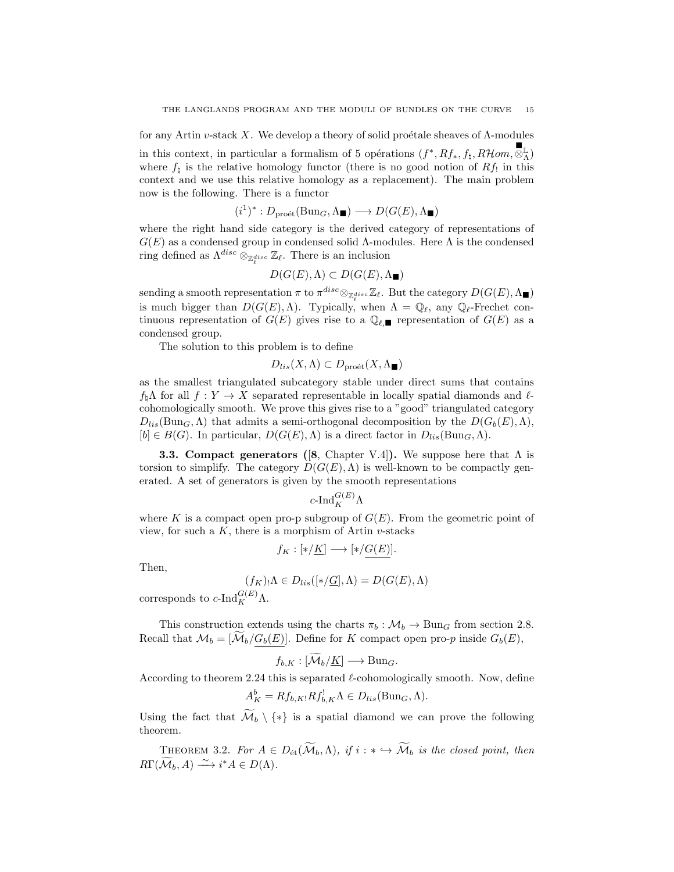for any Artin v-stack X. We develop a theory of solid proétale sheaves of  $\Lambda$ -modules in this context, in particular a formalism of 5 opérations  $(f^*, Rf_*, f_\natural, R\mathcal{H}om, \mathcal{S}_\Lambda^{\mathbb{L}})$ where  $f_{\nparallel}$  is the relative homology functor (there is no good notion of  $Rf_{\perp}$  in this context and we use this relative homology as a replacement). The main problem now is the following. There is a functor

$$
(i^1)^*: D_{\text{pro\acute{e}t}}(\text{Bun}_G, \Lambda_{\blacksquare}) \longrightarrow D(G(E), \Lambda_{\blacksquare})
$$

where the right hand side category is the derived category of representations of  $G(E)$  as a condensed group in condensed solid  $\Lambda$ -modules. Here  $\Lambda$  is the condensed ring defined as  $\Lambda^{disc} \otimes_{\mathbb{Z}_{\ell}^{disc}} \mathbb{Z}_{\ell}$ . There is an inclusion

$$
D(G(E), \Lambda) \subset D(G(E), \Lambda_{\blacksquare})
$$

sending a smooth representation  $\pi$  to  $\pi^{disc} \otimes_{\mathbb{Z}_{\ell}^{disc}} \mathbb{Z}_{\ell}$ . But the category  $D(G(E), \Lambda_{\blacksquare})$ is much bigger than  $D(G(E), \Lambda)$ . Typically, when  $\Lambda = \mathbb{Q}_{\ell}$ , any  $\mathbb{Q}_{\ell}$ -Frechet continuous representation of  $G(E)$  gives rise to a  $\mathbb{Q}_{\ell,\blacksquare}$  representation of  $G(E)$  as a condensed group.

The solution to this problem is to define

$$
D_{lis}(X,\Lambda) \subset D_{\text{pro\acute{e}t}}(X,\Lambda_{\blacksquare})
$$

as the smallest triangulated subcategory stable under direct sums that contains  $f_{\sharp}\Lambda$  for all  $f : Y \to X$  separated representable in locally spatial diamonds and  $\ell$ cohomologically smooth. We prove this gives rise to a "good" triangulated category  $D_{lis}(\text{Bun}_G,\Lambda)$  that admits a semi-orthogonal decomposition by the  $D(G_b(E),\Lambda)$ ,  $[b] \in B(G)$ . In particular,  $D(G(E), \Lambda)$  is a direct factor in  $D_{lis}(\text{Bun}_G, \Lambda)$ .

**3.3. Compact generators ([8, Chapter V.4]). We suppose here that**  $\Lambda$  **is** torsion to simplify. The category  $D(G(E), \Lambda)$  is well-known to be compactly generated. A set of generators is given by the smooth representations

$$
c\text{-}\mathrm{Ind}_K^{G(E)} \Lambda
$$

where K is a compact open pro-p subgroup of  $G(E)$ . From the geometric point of view, for such a  $K$ , there is a morphism of Artin  $v$ -stacks

$$
f_K: [\ast/\underline{K}] \longrightarrow [\ast/\underline{G(E)}].
$$

Then,

$$
(f_K)_!\Lambda \in D_{lis}([\ast/\underline{G}], \Lambda) = D(G(E), \Lambda)
$$

corresponds to  $c$ -Ind $_G^{G(E)}$  $\Lambda$ .

This construction extends using the charts  $\pi_b : \mathcal{M}_b \to \text{Bun}_G$  from section 2.8. Recall that  $\mathcal{M}_b = [\mathcal{M}_b/G_b(E)]$ . Define for K compact open pro-p inside  $G_b(E)$ ,

$$
f_{b,K}: [\mathcal{M}_b/\underline{K}] \longrightarrow \text{Bun}_G.
$$

According to theorem 2.24 this is separated  $\ell$ -cohomologically smooth. Now, define

$$
A_K^b = Rf_{b,K}Rf_{b,K}^! \Lambda \in D_{lis}(\text{Bun}_G, \Lambda).
$$

Using the fact that  $\widetilde{\mathcal{M}}_b \setminus \{*\}$  is a spatial diamond we can prove the following theorem.

THEOREM 3.2. For  $A \in D_{\text{\'et}}(\widetilde{\mathcal{M}}_b,\Lambda)$ , if  $i : * \hookrightarrow \widetilde{\mathcal{M}}_b$  is the closed point, then  $R\Gamma(\widetilde{\mathcal{M}}_b, A) \stackrel{\sim}{\longrightarrow} i^*A \in D(\Lambda).$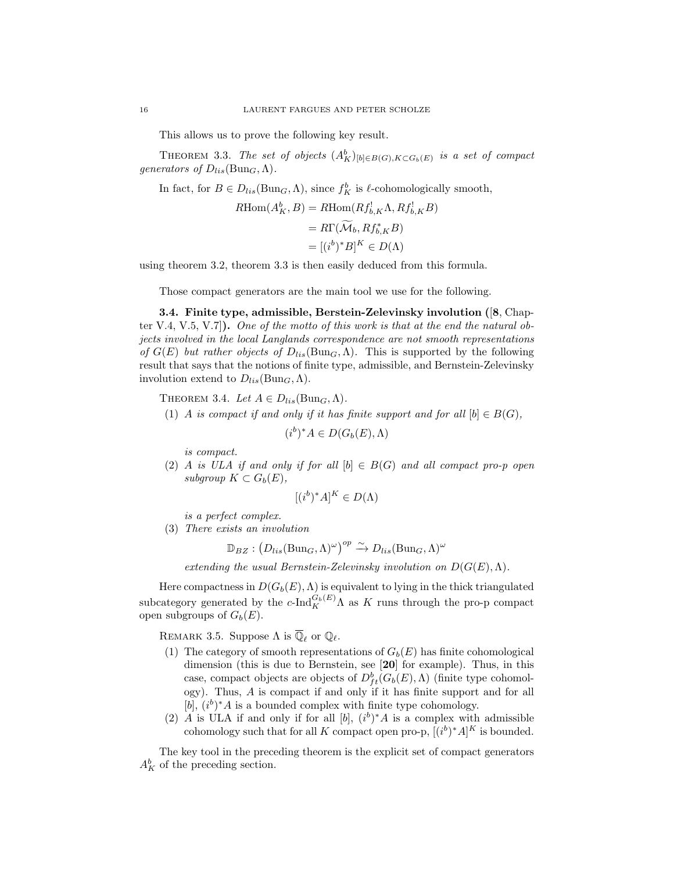This allows us to prove the following key result.

THEOREM 3.3. The set of objects  $(A_K^b)_{[b] \in B(G), K \subset G_b(E)}$  is a set of compact generators of  $D_{lis}(\text{Bun}_G, \Lambda)$ .

In fact, for  $B \in D_{lis}(\text{Bun}_G, \Lambda)$ , since  $f_K^b$  is  $\ell$ -cohomologically smooth,

$$
R\text{Hom}(A_K^b, B) = R\text{Hom}(Rf_{b,K}^1 \Lambda, Rf_{b,K}^1 B)
$$
  
= 
$$
R\Gamma(\widetilde{\mathcal{M}}_b, Rf_{b,K}^* B)
$$
  
= 
$$
[(i^b)^* B]^K \in D(\Lambda)
$$

using theorem 3.2, theorem 3.3 is then easily deduced from this formula.

Those compact generators are the main tool we use for the following.

3.4. Finite type, admissible, Berstein-Zelevinsky involution ([8, Chapter V.4, V.5, V.7]). One of the motto of this work is that at the end the natural objects involved in the local Langlands correspondence are not smooth representations of  $G(E)$  but rather objects of  $D_{lis}(\text{Bun}_G,\Lambda)$ . This is supported by the following result that says that the notions of finite type, admissible, and Bernstein-Zelevinsky involution extend to  $D_{lis}(\text{Bun}_G, \Lambda)$ .

THEOREM 3.4. Let  $A \in D_{lis}(\text{Bun}_G, \Lambda)$ .

(1) A is compact if and only if it has finite support and for all  $[b] \in B(G)$ ,

$$
(i^b)^*A \in D(G_b(E), \Lambda)
$$

is compact.

(2) A is ULA if and only if for all  $[b] \in B(G)$  and all compact pro-p open subgroup  $K \subset G_b(E)$ ,

$$
[(i^b)^*A]^K \in D(\Lambda)
$$

is a perfect complex.

(3) There exists an involution

$$
\mathbb{D}_{BZ} : (D_{lis}(\text{Bun}_G, \Lambda)^\omega)^{op} \xrightarrow{\sim} D_{lis}(\text{Bun}_G, \Lambda)^\omega
$$

extending the usual Bernstein-Zelevinsky involution on  $D(G(E),\Lambda)$ .

Here compactness in  $D(G_b(E), \Lambda)$  is equivalent to lying in the thick triangulated subcategory generated by the  $c$ -Ind ${}_{K}^{G_b(E)}\Lambda$  as K runs through the pro-p compact open subgroups of  $G_b(E)$ .

REMARK 3.5. Suppose  $\Lambda$  is  $\overline{\mathbb{Q}}_{\ell}$  or  $\mathbb{Q}_{\ell}$ .

- (1) The category of smooth representations of  $G_b(E)$  has finite cohomological dimension (this is due to Bernstein, see [20] for example). Thus, in this case, compact objects are objects of  $D_f^b({G_b}(E), \Lambda)$  (finite type cohomology). Thus, A is compact if and only if it has finite support and for all [b],  $(i^b)^*A$  is a bounded complex with finite type cohomology.
- (2) A is ULA if and only if for all  $[b]$ ,  $(i^b)^*A$  is a complex with admissible cohomology such that for all K compact open pro-p,  $[(i^b)^*A]^K$  is bounded.

The key tool in the preceding theorem is the explicit set of compact generators  $A_K^b$  of the preceding section.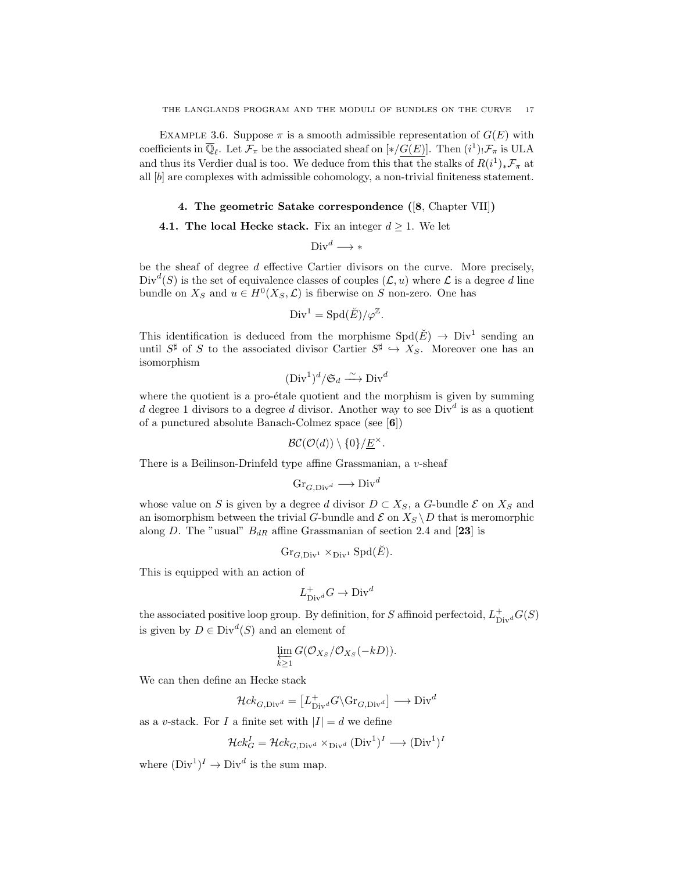EXAMPLE 3.6. Suppose  $\pi$  is a smooth admissible representation of  $G(E)$  with coefficients in  $\overline{\mathbb{Q}}_{\ell}$ . Let  $\mathcal{F}_{\pi}$  be the associated sheaf on  $[*/G(E)]$ . Then  $(i^1)$ ,  $\mathcal{F}_{\pi}$  is ULA and thus its Verdier dual is too. We deduce from this that the stalks of  $R(i^1)_* \mathcal{F}_{\pi}$  at all [b] are complexes with admissible cohomology, a non-trivial finiteness statement.

## 4. The geometric Satake correspondence ([8, Chapter VII])

## 4.1. The local Hecke stack. Fix an integer  $d \geq 1$ . We let

$$
\operatorname{Div}^d \longrightarrow *
$$

be the sheaf of degree d effective Cartier divisors on the curve. More precisely,  $Div<sup>d</sup>(S)$  is the set of equivalence classes of couples  $(C, u)$  where  $\mathcal L$  is a degree d line bundle on  $X_S$  and  $u \in H^0(X_S, \mathcal{L})$  is fiberwise on S non-zero. One has

$$
\text{Div}^1 = \text{Spd}(\breve{E}) / \varphi^{\mathbb{Z}}.
$$

This identification is deduced from the morphisme  $Spd(\check{E}) \to Div^1$  sending an until  $S^{\sharp}$  of S to the associated divisor Cartier  $S^{\sharp} \hookrightarrow X_S$ . Moreover one has an isomorphism

$$
(\text{Div}^1)^d / \mathfrak{S}_d \xrightarrow{\sim} \text{Div}^d
$$

where the quotient is a pro- $\acute{e}$ tale quotient and the morphism is given by summing d degree 1 divisors to a degree d divisor. Another way to see  $Div<sup>d</sup>$  is as a quotient of a punctured absolute Banach-Colmez space (see [6])

$$
\mathcal{BC}(\mathcal{O}(d))\setminus\{0\}/\underline{E}^{\times}.
$$

There is a Beilinson-Drinfeld type affine Grassmanian, a v-sheaf

$$
\text{Gr}_{G,\text{Div}^d} \longrightarrow \text{Div}^d
$$

whose value on S is given by a degree d divisor  $D \subset X_S$ , a G-bundle  $\mathcal E$  on  $X_S$  and an isomorphism between the trivial G-bundle and  $\mathcal E$  on  $X_S \setminus D$  that is meromorphic along D. The "usual"  $B_{dR}$  affine Grassmanian of section 2.4 and [23] is

$$
\textnormal{Gr}_{G,\textnormal{Div}^1}\times_{\textnormal{Div}^1}\textnormal{Spd}(\breve{E}).
$$

This is equipped with an action of

$$
L^{+}_{\mathrm{Div}^{d}} G \to \mathrm{Div}^{d}
$$

the associated positive loop group. By definition, for S affinoid perfectoid,  $L_{\text{Div}}^+ G(S)$ is given by  $D \in Div^d(S)$  and an element of

$$
\varprojlim_{k\geq 1} G(\mathcal{O}_{X_S}/\mathcal{O}_{X_S}(-kD)).
$$

We can then define an Hecke stack

$$
\mathcal{H}ck_{G,\mathrm{Div}^d} = \left[ L^+_{\mathrm{Div}^d} G \backslash \mathrm{Gr}_{G,\mathrm{Div}^d} \right] \longrightarrow \mathrm{Div}^d
$$

as a v-stack. For I a finite set with  $|I| = d$  we define

$$
\mathcal{H}ck_G^I = \mathcal{H}ck_{G, \text{Div}^d} \times_{\text{Div}^d} (\text{Div}^1)^I \longrightarrow (\text{Div}^1)^I
$$

where  $(Div^1)^I \to Div^d$  is the sum map.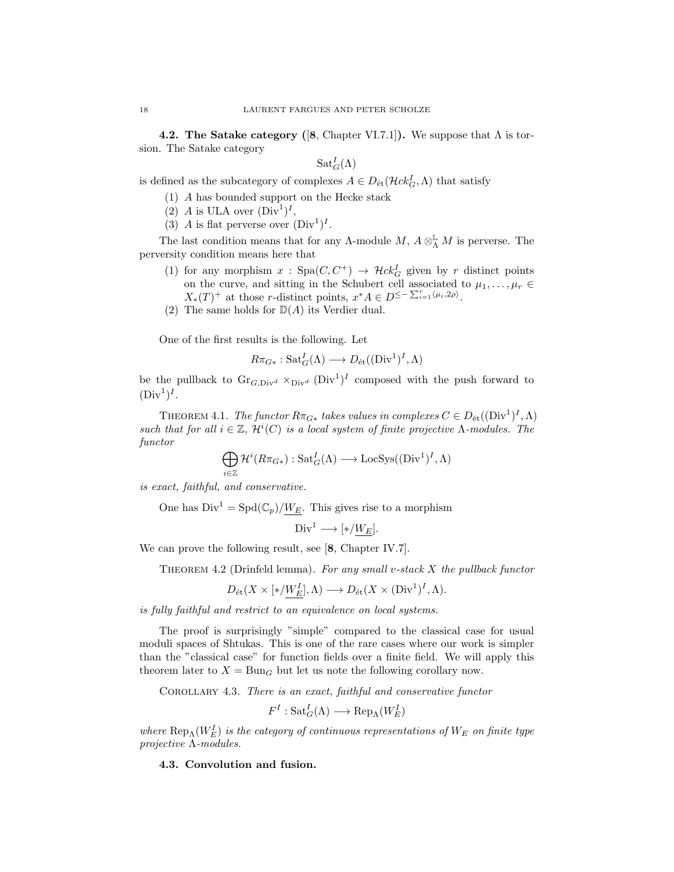**4.2. The Satake category ([8, Chapter VI.7.1]).** We suppose that  $\Lambda$  is torsion. The Satake category

$$
\mathrm{Sat}_G^I(\Lambda)
$$

is defined as the subcategory of complexes  $A \in D_{\text{\'et}}(\mathcal{H}ck^I_G,\Lambda)$  that satisfy

- (1) A has bounded support on the Hecke stack
- (2) A is ULA over  $(Div^1)^I$ ,
- (3) A is flat perverse over  $(Div^1)^I$ .

The last condition means that for any  $\Lambda$ -module  $M$ ,  $A \otimes^{\mathbb{L}}_{\Lambda} M$  is perverse. The perversity condition means here that

- (1) for any morphism  $x :$  Spa $(C, C^+) \rightarrow \mathcal{H}ck_G^I$  given by r distinct points on the curve, and sitting in the Schubert cell associated to  $\mu_1, \ldots, \mu_r \in$  $X_*(T)^+$  at those r-distinct points,  $x^*A \in D^{\leq -\sum_{i=1}^r \langle \mu_i, 2\rho \rangle}$ .
- (2) The same holds for  $\mathbb{D}(A)$  its Verdier dual.

One of the first results is the following. Let

$$
R\pi_{G*}: \mathrm{Sat}_{G}^{I}(\Lambda) \longrightarrow D_{\mathrm{\acute{e}t}}((\mathrm{Div}^{1})^{I}, \Lambda)
$$

be the pullback to  $\text{Gr}_{G,\text{Div}^d} \times_{\text{Div}^d} (\text{Div}^1)^I$  composed with the push forward to  $(\text{Div}^1)^I$ .

THEOREM 4.1. The functor  $R\pi_{G*}$  takes values in complexes  $C \in D_{\text{\'et}}((\text{Div}^1)^I, \Lambda)$ such that for all  $i \in \mathbb{Z}$ ,  $\mathcal{H}^i(C)$  is a local system of finite projective  $\Lambda$ -modules. The functor

$$
\bigoplus_{i\in\mathbb{Z}}\mathcal{H}^i(R\pi_{G*}): \mathrm{Sat}_G^I(\Lambda)\longrightarrow \mathrm{LocSys}((\mathrm{Div}^1)^I, \Lambda)
$$

is exact, faithful, and conservative.

One has  $Div^1 = Spd(\mathbb{C}_p)/W_E$ . This gives rise to a morphism

 $Div<sup>1</sup> \longrightarrow [*/W<sub>E</sub>].$ 

We can prove the following result, see [8, Chapter IV.7].

THEOREM 4.2 (Drinfeld lemma). For any small v-stack  $X$  the pullback functor

$$
D_{\text{\'et}}(X\times [*/W_E^I],\Lambda)\longrightarrow D_{\text{\'et}}(X\times (\text{Div}^1)^I,\Lambda).
$$

is fully faithful and restrict to an equivalence on local systems.

The proof is surprisingly "simple" compared to the classical case for usual moduli spaces of Shtukas. This is one of the rare cases where our work is simpler than the "classical case" for function fields over a finite field. We will apply this theorem later to  $X = \text{Bun}_G$  but let us note the following corollary now.

COROLLARY 4.3. There is an exact, faithful and conservative functor

 $F^I: \operatorname{Sat}^I_G(\Lambda) \longrightarrow \operatorname{Rep}_\Lambda(W^I_E)$ 

where  $\text{Rep}_{\Lambda}(W_E^I)$  is the category of continuous representations of  $W_E$  on finite type projective Λ-modules.

4.3. Convolution and fusion.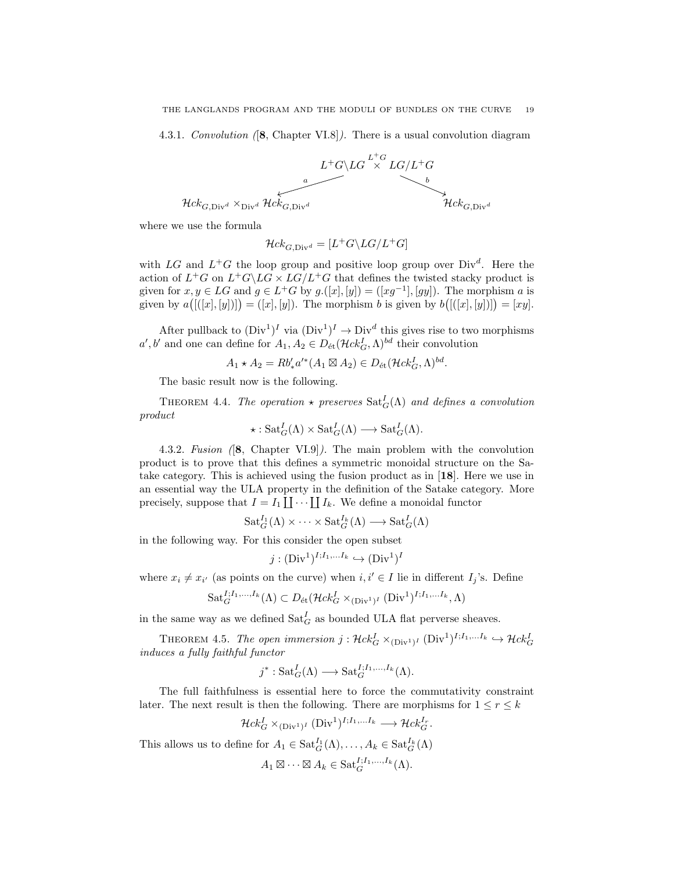4.3.1. Convolution ([8, Chapter VI.8]). There is a usual convolution diagram



where we use the formula

$$
\mathcal{H}ck_{G,\text{Div}^d} = [L^+G\backslash LG/L^+G]
$$

with LG and  $L^+G$  the loop group and positive loop group over  $Div^d$ . Here the action of  $L^+G$  on  $L^+G\backslash LG \times LG/L^+G$  that defines the twisted stacky product is given for  $x, y \in LG$  and  $g \in L^+G$  by  $g.([x], [y]) = ([xg^{-1}], [gy])$ . The morphism a is given by  $a\big(\left[\left([x],[y]\right]\right]\big) = \left([x],[y]\right)$ . The morphism b is given by  $b\big(\left[\left([x],[y]\right]\right]\big) = [xy]$ .

After pullback to  $(Div^1)^I$  via  $(Div^1)^I \rightarrow Div^d$  this gives rise to two morphisms  $a', b'$  and one can define for  $A_1, A_2 \in D_{\text{\'et}}(\mathcal{H}ck^I_G, \Lambda)^{bd}$  their convolution

 $A_1 \star A_2 = R b'_* a'^*(A_1 \boxtimes A_2) \in D_{\text{\'et}}(\mathcal{H}ck^I_G,\Lambda)^{bd}.$ 

The basic result now is the following.

THEOREM 4.4. The operation  $\star$  preserves  $\text{Sat}_{G}^{I}(\Lambda)$  and defines a convolution product

$$
\star: \mathrm{Sat}^I_G(\Lambda) \times \mathrm{Sat}^I_G(\Lambda) \longrightarrow \mathrm{Sat}^I_G(\Lambda).
$$

4.3.2. Fusion ([8, Chapter VI.9]). The main problem with the convolution product is to prove that this defines a symmetric monoidal structure on the Satake category. This is achieved using the fusion product as in [18]. Here we use in an essential way the ULA property in the definition of the Satake category. More precisely, suppose that  $I = I_1 \coprod \cdots \coprod I_k$ . We define a monoidal functor

$$
\mathrm{Sat}_G^{I_1}(\Lambda) \times \cdots \times \mathrm{Sat}_G^{I_k}(\Lambda) \longrightarrow \mathrm{Sat}_G^{I}(\Lambda)
$$

in the following way. For this consider the open subset

$$
j : (\text{Div}^1)^{I; I_1, \dots, I_k} \hookrightarrow (\text{Div}^1)^I
$$

where  $x_i \neq x_{i'}$  (as points on the curve) when  $i, i' \in I$  lie in different  $I_j$ 's. Define

$$
\text{Sat}_{G}^{I;I_1,\ldots,I_k}(\Lambda) \subset D_{\text{\'et}}(\mathcal{H}ck_{G}^{I} \times_{(\text{Div}^{1})^{I}} (\text{Div}^{1})^{I;I_1,\ldots,I_k},\Lambda)
$$

in the same way as we defined  $\text{Sat}_{G}^{I}$  as bounded ULA flat perverse sheaves.

THEOREM 4.5. The open immersion  $j: \mathcal{H}ck_G^I \times_{(\text{Div}^1)^I} (\text{Div}^1)^{I;I_1,...I_k} \hookrightarrow \mathcal{H}ck_G^I$ induces a fully faithful functor

$$
j^* : \mathrm{Sat}_G^I(\Lambda) \longrightarrow \mathrm{Sat}_G^{I;I_1,\ldots,I_k}(\Lambda).
$$

The full faithfulness is essential here to force the commutativity constraint later. The next result is then the following. There are morphisms for  $1 \le r \le k$ 

$$
\mathcal{H}ck_G^I \times_{(\text{Div}^1)^I} (\text{Div}^1)^{I;I_1,...I_k} \longrightarrow \mathcal{H}ck_G^{I_r}.
$$

This allows us to define for  $A_1 \in \text{Sat}_{G}^{I_1}(\Lambda), \ldots, A_k \in \text{Sat}_{G}^{I_k}(\Lambda)$ 

$$
A_1 \boxtimes \cdots \boxtimes A_k \in \text{Sat}_{G}^{I;I_1,\ldots,I_k}(\Lambda).
$$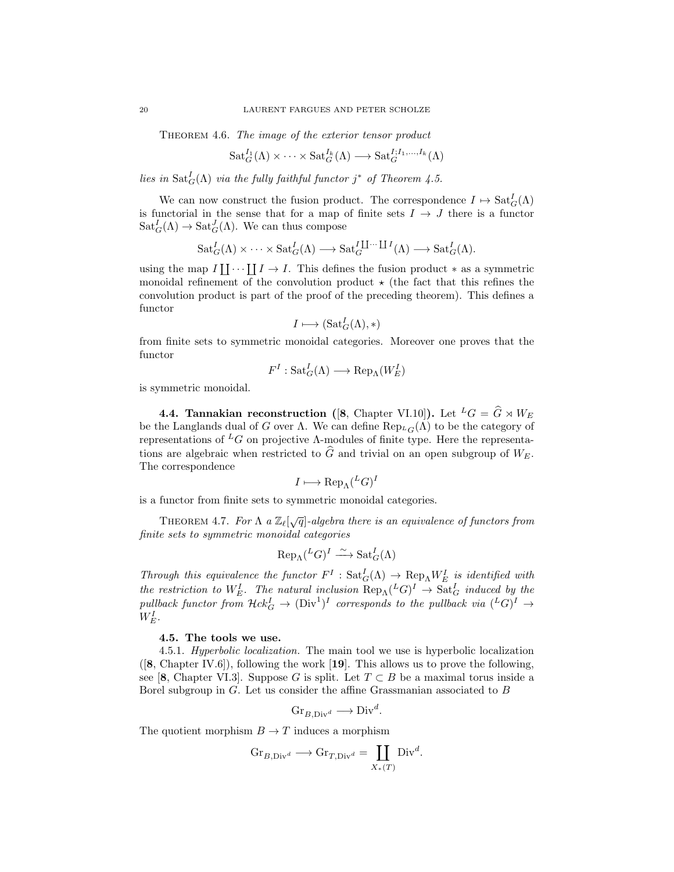THEOREM 4.6. The image of the exterior tensor product

$$
\mathrm{Sat}_{G}^{I_1}(\Lambda) \times \cdots \times \mathrm{Sat}_{G}^{I_k}(\Lambda) \longrightarrow \mathrm{Sat}_{G}^{I;I_1,\ldots,I_k}(\Lambda)
$$

lies in  $\text{Sat}_{G}^{I}(\Lambda)$  via the fully faithful functor j<sup>\*</sup> of Theorem 4.5.

We can now construct the fusion product. The correspondence  $I \mapsto \text{Sat}_{G}^{I}(\Lambda)$ is functorial in the sense that for a map of finite sets  $I \rightarrow J$  there is a functor  $\operatorname{Sat}_{G}^{I}(\Lambda) \to \operatorname{Sat}_{G}^{J}(\Lambda)$ . We can thus compose

$$
Sat_G^I(\Lambda) \times \cdots \times Sat_G^I(\Lambda) \longrightarrow Sat_G^{I \coprod \cdots \coprod I}(\Lambda) \longrightarrow Sat_G^I(\Lambda).
$$

using the map  $I[[\cdots][I \to I]$ . This defines the fusion product  $*$  as a symmetric monoidal refinement of the convolution product  $\star$  (the fact that this refines the convolution product is part of the proof of the preceding theorem). This defines a functor

$$
I \longmapsto (\mathrm{Sat}^I_G(\Lambda), *)
$$

from finite sets to symmetric monoidal categories. Moreover one proves that the functor

$$
F^I: \mathrm{Sat}^I_G(\Lambda) \longrightarrow \mathrm{Rep}_{\Lambda}(W^I_E)
$$

is symmetric monoidal.

**4.4. Tannakian reconstruction** ([8, Chapter VI.10]). Let  ${}^L G = \hat{G} \rtimes W_E$ be the Langlands dual of G over  $\Lambda$ . We can define  $\text{Rep}_{L_G}(\Lambda)$  to be the category of representations of  $<sup>L</sup>G$  on projective Λ-modules of finite type. Here the representa-</sup> tions are algebraic when restricted to  $\widehat{G}$  and trivial on an open subgroup of  $W_E$ . The correspondence

$$
I \longmapsto \text{Rep}_{\Lambda}(^L G)^I
$$

is a functor from finite sets to symmetric monoidal categories.

THEOREM 4.7. For  $\Lambda$  a  $\mathbb{Z}_{\ell}[\sqrt{q}]$ -algebra there is an equivalence of functors from finite sets to symmetric monoidal categories

$$
\text{Rep}_{\Lambda}(^{L}G)^{I} \xrightarrow{\sim} \text{Sat}_{G}^{I}(\Lambda)
$$

Through this equivalence the functor  $F^I : \text{Sat}_{G}^{I}(\Lambda) \to \text{Rep}_{\Lambda} W^I_{E}$  is identified with the restriction to  $W_E^I$ . The natural inclusion  $\text{Rep}_{\Lambda}(^L G)^I \to \text{Sat}_{G}^I$  induced by the pullback functor from  $Hck_G^I \to (\text{Div}^1)^I$  corresponds to the pullback via  $(^L G)^I \to$  $W^I_E$ .

## 4.5. The tools we use.

4.5.1. Hyperbolic localization. The main tool we use is hyperbolic localization  $([8, Chapter IV.6]),$  following the work  $[19]$ . This allows us to prove the following, see [8, Chapter VI.3]. Suppose G is split. Let  $T \subset B$  be a maximal torus inside a Borel subgroup in G. Let us consider the affine Grassmanian associated to B

$$
Gr_{B,\text{Div}^d} \longrightarrow \text{Div}^d.
$$

The quotient morphism  $B \to T$  induces a morphism

$$
\mathrm{Gr}_{B,\mathrm{Div}^d} \longrightarrow \mathrm{Gr}_{T,\mathrm{Div}^d} = \coprod_{X_*(T)} \mathrm{Div}^d.
$$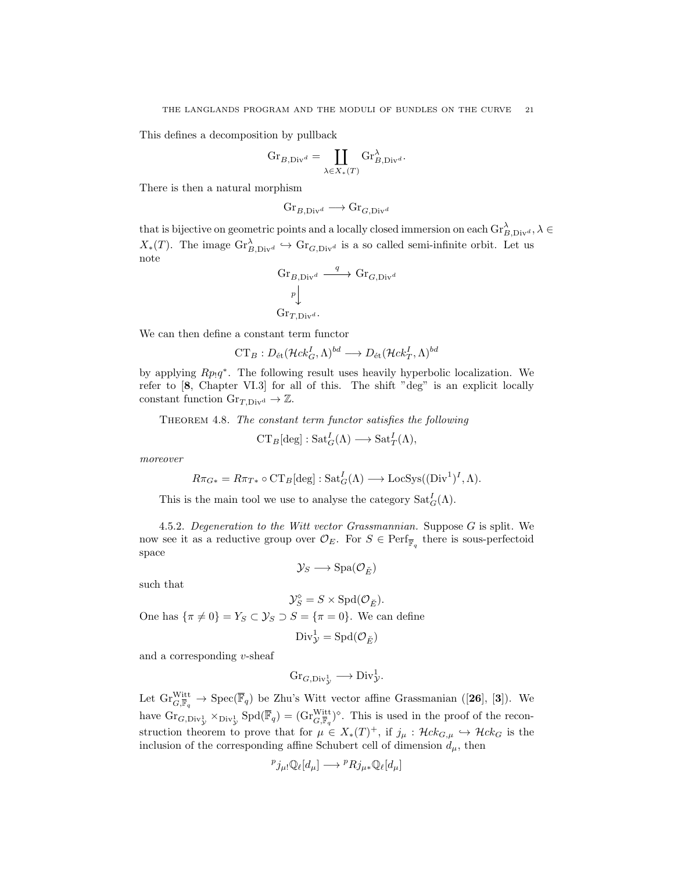This defines a decomposition by pullback

$$
\mathrm{Gr}_{B,\mathrm{Div}^d} = \coprod_{\lambda \in X_*(T)} \mathrm{Gr}_{B,\mathrm{Div}^d}^{\lambda}.
$$

There is then a natural morphism

$$
\mathrm{Gr}_{B,\mathrm{Div}^d} \longrightarrow \mathrm{Gr}_{G,\mathrm{Div}^d}
$$

that is bijective on geometric points and a locally closed immersion on each  $\text{Gr}_{B,\text{Div}^d}^{\lambda}$ ,  $\lambda \in$  $X_*(T)$ . The image  $\text{Gr}_{B,\text{Div}^d}^{\lambda} \hookrightarrow \text{Gr}_{G,\text{Div}^d}$  is a so called semi-infinite orbit. Let us note

$$
\begin{aligned}\n\operatorname{Gr}_{B,\mathrm{Div}^d} & \xrightarrow{q} \operatorname{Gr}_{G,\mathrm{Div}^d} \\
p \downarrow & \\
\operatorname{Gr}_{T,\mathrm{Div}^d}.\n\end{aligned}
$$

We can then define a constant term functor

 $CT_B: D_{\mathrm{\acute{e}t}}(\mathcal{H}ck^I_G,\Lambda)^{bd}\longrightarrow D_{\mathrm{\acute{e}t}}(\mathcal{H}ck^I_T,\Lambda)^{bd}$ 

by applying  $Rp_1q^*$ . The following result uses heavily hyperbolic localization. We refer to [8, Chapter VI.3] for all of this. The shift "deg" is an explicit locally constant function  $\text{Gr}_{T,\text{Div}^d} \to \mathbb{Z}$ .

THEOREM 4.8. The constant term functor satisfies the following

$$
CT_B[\deg]:\mathrm{Sat}_G^I(\Lambda)\longrightarrow \mathrm{Sat}_T^I(\Lambda),
$$

moreover

$$
R\pi_{G*} = R\pi_{T*} \circ \mathrm{CT}_B[\deg] : \mathrm{Sat}_G^I(\Lambda) \longrightarrow \mathrm{LocSys}((\mathrm{Div}^1)^I, \Lambda).
$$

This is the main tool we use to analyse the category  $\text{Sat}_{G}^{I}(\Lambda)$ .

4.5.2. Degeneration to the Witt vector Grassmannian. Suppose G is split. We now see it as a reductive group over  $\mathcal{O}_E$ . For  $S \in \text{Perf}_{\overline{\mathbb{F}}_q}$  there is sous-perfectoid space

$$
\mathcal{Y}_S \longrightarrow \mathrm{Spa}(\mathcal{O}_{\breve{E}})
$$

such that

$$
\mathcal{Y}_S^\diamond=S\times \mathrm{Spd}(\mathcal{O}_{\breve{E}}).
$$

One has  $\{\pi \neq 0\} = Y_S \subset \mathcal{Y}_S \supset S = \{\pi = 0\}.$  We can define

$$
\text{Div}_{\mathcal{Y}}^1 = \text{Spd}(\mathcal{O}_{\breve{E}})
$$

and a corresponding v-sheaf

$$
\mathrm{Gr}_{G,\mathrm{Div}_{\mathcal{Y}}^1} \longrightarrow \mathrm{Div}_{\mathcal{Y}}^1.
$$

Let  $\mathrm{Gr}_{G,\overline{\mathbb{F}}_q}^{\mathrm{Witt}} \to \mathrm{Spec}(\overline{\mathbb{F}}_q)$  be Zhu's Witt vector affine Grassmanian ([26], [3]). We have  $\text{Gr}_{G,\text{Div}_\mathcal{Y}^1} \times_{\text{Div}_\mathcal{Y}^1} \text{Spd}(\overline{\mathbb{F}}_q) = (\text{Gr}_{G,\overline{\mathbb{F}}_q}^{\text{Witt}})^{\diamond}$ . This is used in the proof of the reconstruction theorem to prove that for  $\mu \in X_*(T)^+$ , if  $j_{\mu} : \mathcal{H}ck_{G,\mu} \hookrightarrow \mathcal{H}ck_G$  is the inclusion of the corresponding affine Schubert cell of dimension  $d_{\mu}$ , then

$$
{}^p j_{\mu} \downarrow \mathbb{Q}_\ell[d_\mu] \longrightarrow {}^p R j_{\mu} {}_* \mathbb{Q}_\ell[d_\mu]
$$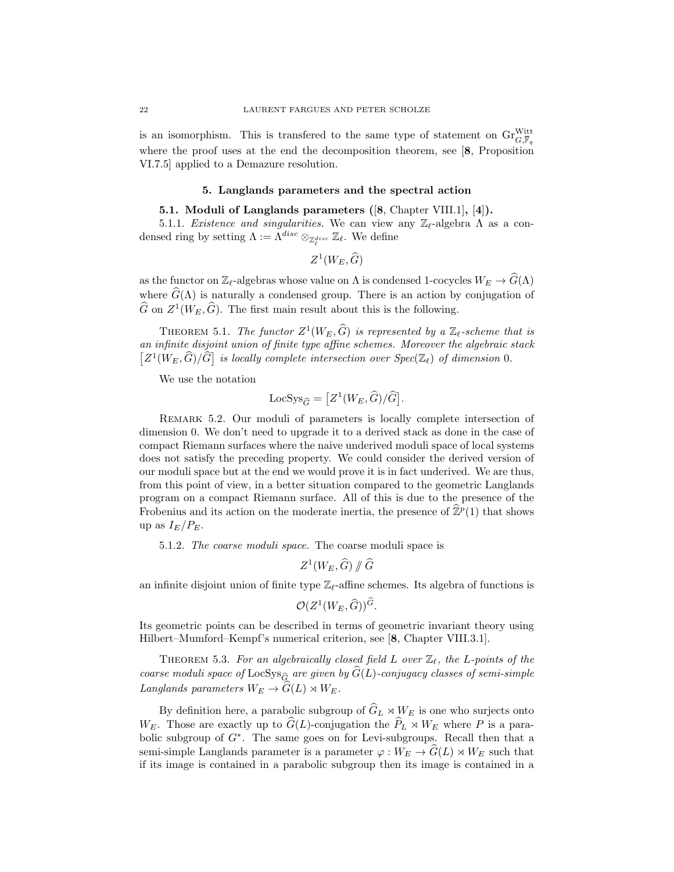is an isomorphism. This is transfered to the same type of statement on  $\mathrm{Gr}^{\mathrm{Witt}}_{G,\overline{\mathbb{F}}_q}$ where the proof uses at the end the decomposition theorem, see [8, Proposition VI.7.5] applied to a Demazure resolution.

#### 5. Langlands parameters and the spectral action

#### 5.1. Moduli of Langlands parameters ([8, Chapter VIII.1], [4]).

5.1.1. Existence and singularities. We can view any  $\mathbb{Z}_{\ell}$ -algebra  $\Lambda$  as a condensed ring by setting  $\Lambda := \Lambda^{disc} \otimes_{\mathbb{Z}_{\ell}^{disc}} \mathbb{Z}_{\ell}$ . We define

$$
Z^1(W_E,\widehat{G})
$$

as the functor on  $\mathbb{Z}_{\ell}$ -algebras whose value on  $\Lambda$  is condensed 1-cocycles  $W_E \to \widehat{G}(\Lambda)$ where  $\widehat{G}(\Lambda)$  is naturally a condensed group. There is an action by conjugation of  $\widehat{G}$  on  $Z^1(W_E, \widehat{G})$ . The first main result about this is the following.

THEOREM 5.1. The functor  $Z^1(W_E, \widehat{G})$  is represented by a  $\mathbb{Z}_{\ell}$ -scheme that is an infinite disjoint union of finite type affine schemes. Moreover the algebraic stack  $[Z^1(W_E, \widehat{G})/\widehat{G}]$  is locally complete intersection over  $Spec(\mathbb{Z}_\ell)$  of dimension 0.

We use the notation

$$
\text{LocSys}_{\widehat{G}} = [Z^1(W_E, \widehat{G})/\widehat{G}].
$$

REMARK 5.2. Our moduli of parameters is locally complete intersection of dimension 0. We don't need to upgrade it to a derived stack as done in the case of compact Riemann surfaces where the naive underived moduli space of local systems does not satisfy the preceding property. We could consider the derived version of our moduli space but at the end we would prove it is in fact underived. We are thus, from this point of view, in a better situation compared to the geometric Langlands program on a compact Riemann surface. All of this is due to the presence of the Frobenius and its action on the moderate inertia, the presence of  $\hat{\mathbb{Z}}^p(1)$  that shows up as  $I_E/P_E$ .

5.1.2. The coarse moduli space. The coarse moduli space is

$$
Z^1(W_E,\widehat{G})\mathbin{\#}\widehat{G}
$$

an infinite disjoint union of finite type  $\mathbb{Z}_{\ell}$ -affine schemes. Its algebra of functions is

$$
\mathcal{O}(Z^1(W_E,\widehat{G}))^{\widehat{G}}.
$$

Its geometric points can be described in terms of geometric invariant theory using Hilbert–Mumford–Kempf's numerical criterion, see [8, Chapter VIII.3.1].

THEOREM 5.3. For an algebraically closed field L over  $\mathbb{Z}_\ell$ , the L-points of the coarse moduli space of  $\text{LocSys}_{\widehat{G}}$  are given by  $\widehat{G}(L)$ -conjugacy classes of semi-simple Langlands parameters  $W_E \rightarrow \widehat{G}(L) \rtimes W_E$ .

By definition here, a parabolic subgroup of  $\hat{G}_L \rtimes W_E$  is one who surjects onto  $W_E$ . Those are exactly up to  $\hat{G}(L)$ -conjugation the  $\hat{P}_L \rtimes W_E$  where P is a parabolic subgroup of G<sup>∗</sup> . The same goes on for Levi-subgroups. Recall then that a semi-simple Langlands parameter is a parameter  $\varphi: W_E \to \widehat{G}(L) \rtimes W_E$  such that if its image is contained in a parabolic subgroup then its image is contained in a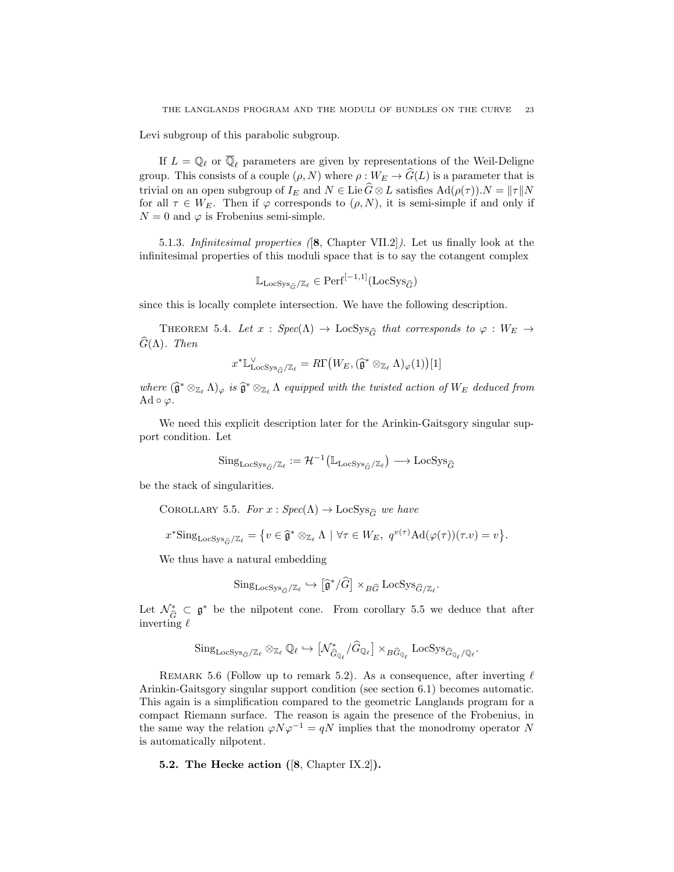Levi subgroup of this parabolic subgroup.

If  $L = \mathbb{Q}_\ell$  or  $\overline{\mathbb{Q}}_\ell$  parameters are given by representations of the Weil-Deligne group. This consists of a couple  $(\rho, N)$  where  $\rho : W_E \to \widehat{G}(L)$  is a parameter that is trivial on an open subgroup of  $I_E$  and  $N \in \text{Lie } \widehat{G} \otimes L$  satisfies  $\text{Ad}(\rho(\tau)).N = ||\tau||N$ for all  $\tau \in W_E$ . Then if  $\varphi$  corresponds to  $(\rho, N)$ , it is semi-simple if and only if  $N = 0$  and  $\varphi$  is Frobenius semi-simple.

5.1.3. Infinitesimal properties ([8, Chapter VII.2]). Let us finally look at the infinitesimal properties of this moduli space that is to say the cotangent complex

$$
\mathbb{L}_{\text{LocSys}_{\widehat{G}}/\mathbb{Z}_{\ell}} \in \text{Perf}^{[-1,1]}(\text{LocSys}_{\widehat{G}})
$$

since this is locally complete intersection. We have the following description.

THEOREM 5.4. Let  $x : Spec(\Lambda) \to LocSys_{\widehat{G}}$  that corresponds to  $\varphi : W_E \to$  $\widehat{G}(\Lambda)$ . Then

$$
x^* \mathbb{L}_{\mathrm{LocSys}_{\widehat{G}}/\mathbb{Z}_{\ell}}^{\vee} = R\Gamma\big(W_E, (\widehat{\mathfrak{g}}^* \otimes_{\mathbb{Z}_{\ell}} \Lambda)_{\varphi}(1)\big)[1]
$$

where  $(\widehat{\mathfrak{g}}^* \otimes_{\mathbb{Z}_\ell} \Lambda)_{\varphi}$  is  $\widehat{\mathfrak{g}}^* \otimes_{\mathbb{Z}_\ell} \Lambda$  equipped with the twisted action of  $W_E$  deduced from Ad  $\circ \varphi$ .

We need this explicit description later for the Arinkin-Gaitsgory singular support condition. Let

$$
\mathrm{Sing}_{\mathrm{LocSys}_{\hat{G}}/\mathbb{Z}_{\ell}} := \mathcal{H}^{-1}(\mathbb{L}_{\mathrm{LocSys}_{\hat{G}}/\mathbb{Z}_{\ell}}) \longrightarrow \mathrm{LocSys}_{\hat{G}}
$$

be the stack of singularities.

COROLLARY 5.5. For  $x : Spec(\Lambda) \to LocSys_{\widehat{G}}$  we have

$$
x^* \text{Sing}_{\text{LocSys}_{\hat{G}}/\mathbb{Z}_{\ell}} = \{ v \in \hat{\mathfrak{g}}^* \otimes_{\mathbb{Z}_{\ell}} \Lambda \mid \forall \tau \in W_E, \ q^{v(\tau)} \text{Ad}(\varphi(\tau))(\tau.v) = v \}.
$$

We thus have a natural embedding

$$
\mathrm{Sing}_{\mathrm{LocSys}_{\widehat{G}}/\mathbb{Z}_{\ell}} \hookrightarrow [\widehat{\mathfrak{g}}^*/\widehat{G}] \times_{B\widehat{G}} \mathrm{LocSys}_{\widehat{G}/\mathbb{Z}_{\ell}}.
$$

Let  $\mathcal{N}_{\hat{G}}^* \subset \mathfrak{g}^*$  be the nilpotent cone. From corollary 5.5 we deduce that after invariance inverting  $\ell$ 

$$
\mathrm{Sing}_{\mathrm{LocSys}_{\widehat{G}}/\mathbb{Z}_{\ell}} \otimes_{\mathbb{Z}_{\ell}} \mathbb{Q}_{\ell} \hookrightarrow [\mathcal{N}^*_{\widehat{G}_{\mathbb{Q}_{\ell}}}/\widehat{G}_{\mathbb{Q}_{\ell}}] \times_{B\widehat{G}_{\mathbb{Q}_{\ell}}} \mathrm{LocSys}_{\widehat{G}_{\mathbb{Q}_{\ell}}/\mathbb{Q}_{\ell}}.
$$

REMARK 5.6 (Follow up to remark 5.2). As a consequence, after inverting  $\ell$ Arinkin-Gaitsgory singular support condition (see section 6.1) becomes automatic. This again is a simplification compared to the geometric Langlands program for a compact Riemann surface. The reason is again the presence of the Frobenius, in the same way the relation  $\varphi N\varphi^{-1} = qN$  implies that the monodromy operator N is automatically nilpotent.

5.2. The Hecke action ([8, Chapter IX.2]).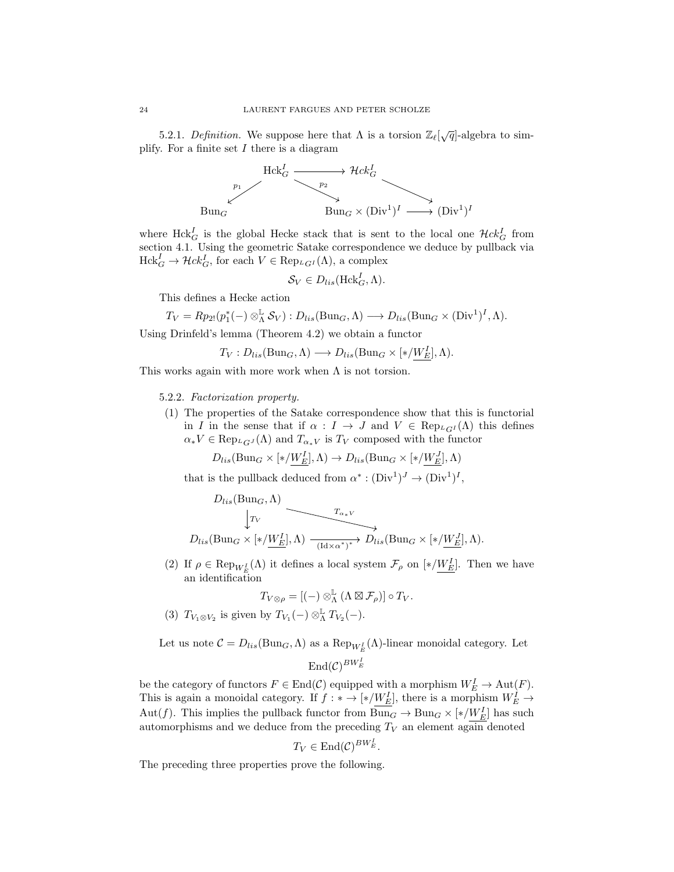5.2.1. Definition. We suppose here that  $\Lambda$  is a torsion  $\mathbb{Z}_{\ell}[\sqrt{q}]$ -algebra to simplify. For a finite set  $I$  there is a diagram



where  $Hck_G^I$  is the global Hecke stack that is sent to the local one  $Hck_G^I$  from section 4.1. Using the geometric Satake correspondence we deduce by pullback via  $Hck_G^I \to \mathcal{H}ck_G^I$ , for each  $V \in \text{Rep}_{L_GI}(\Lambda)$ , a complex

$$
\mathcal{S}_V \in D_{lis}(\text{Hck}_G^I, \Lambda).
$$

This defines a Hecke action

$$
T_V = Rp_{2!}(p_1^*(-) \otimes^{\mathbb{L}}_{\Lambda} \mathcal{S}_V) : D_{lis}(\text{Bun}_G, \Lambda) \longrightarrow D_{lis}(\text{Bun}_G \times (\text{Div}^1)^I, \Lambda).
$$

Using Drinfeld's lemma (Theorem 4.2) we obtain a functor

$$
T_V: D_{lis}(\text{Bun}_G, \Lambda) \longrightarrow D_{lis}(\text{Bun}_G \times [\ast/W_E^I], \Lambda).
$$

This works again with more work when  $\Lambda$  is not torsion.

#### 5.2.2. Factorization property.

(1) The properties of the Satake correspondence show that this is functorial in I in the sense that if  $\alpha : I \to J$  and  $V \in \text{Rep}_{LGI}(\Lambda)$  this defines  $\alpha_* V \in \text{Rep}_{L_GJ}(\Lambda)$  and  $T_{\alpha_* V}$  is  $T_V$  composed with the functor

$$
D_{lis}(\text{Bun}_G \times [\ast/\underline{W_E^I}], \Lambda) \to D_{lis}(\text{Bun}_G \times [\ast/\underline{W_E^J}], \Lambda)
$$

that is the pullback deduced from  $\alpha^*: (\text{Div}^1)^J \to (\text{Div}^1)^I$ ,

$$
D_{lis}(\text{Bun}_G, \Lambda)
$$
\n
$$
\downarrow T_V
$$
\n
$$
D_{lis}(\text{Bun}_G \times [\ast/\underline{W_E^I}], \Lambda) \xrightarrow{\begin{array}{c} T_{\alpha_{\ast}V} \\ \hline (\text{Id} \times \alpha^{\ast})^{\ast}} \end{array}} D_{lis}(\text{Bun}_G \times [\ast/\underline{W_E^J}], \Lambda).
$$

(2) If  $\rho \in \operatorname{Rep}_{W_E^I}(\Lambda)$  it defines a local system  $\mathcal{F}_{\rho}$  on  $[*/W_E^I]$ . Then we have an identification

$$
T_{V\otimes\rho}=[(-)\otimes^{\mathbb{L}}_{\Lambda}(\Lambda\boxtimes\mathcal{F}_{\rho})]\circ T_{V}.
$$

(3)  $T_{V_1 \otimes V_2}$  is given by  $T_{V_1}(-) \otimes_{\Lambda}^{\mathbb{L}} T_{V_2}(-)$ .

Let us note  $C = D_{lis}(\text{Bun}_G, \Lambda)$  as a  $\text{Rep}_{W_E^I}(\Lambda)$ -linear monoidal category. Let

# $\mathrm{End}(\mathcal{C})^{BW_E^I}$

be the category of functors  $F \in \text{End}(\mathcal{C})$  equipped with a morphism  $W_E^I \to \text{Aut}(F)$ . This is again a monoidal category. If  $f: * \to (*/W_E^I]$ , there is a morphism  $W_E^I \to$ Aut(f). This implies the pullback functor from  $Bun_G \to Bun_G\times[*/W_E^I]$  has such automorphisms and we deduce from the preceding  $T_V$  an element again denoted

$$
T_V \in \text{End}(\mathcal{C})^{BW_E^I}.
$$

The preceding three properties prove the following.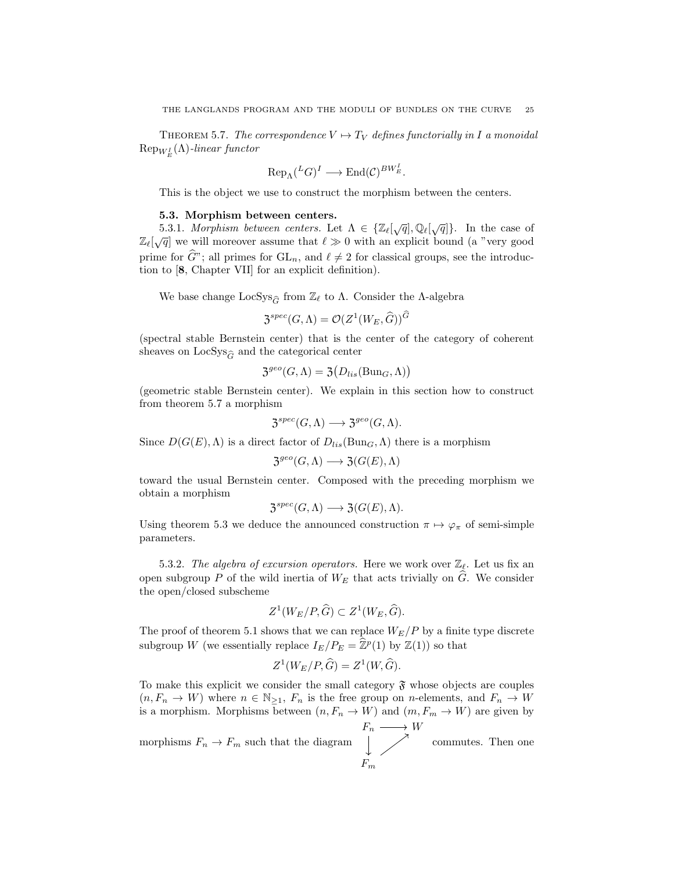THEOREM 5.7. The correspondence  $V \mapsto T_V$  defines functorially in I a monoidal  ${\mathop{\mathrm{Rep}}\nolimits}_{W_E^I}(\Lambda)$ -linear functor

$$
\text{Rep}_{\Lambda}(^{L}G)^{I} \longrightarrow \text{End}(\mathcal{C})^{BW_{E}^{I}}.
$$

This is the object we use to construct the morphism between the centers.

#### 5.3. Morphism between centers.

**5.3.1.** Morphism between centers. Let  $\Lambda \in \{ \mathbb{Z}_\ell[\sqrt{q}], \mathbb{Q}_\ell[\sqrt{q}] \}$ . In the case of  $\mathbb{Z}_{\ell}[\sqrt{q}]$  we will moreover assume that  $\ell \gg 0$  with an explicit bound (a "very good prime for  $\widehat{G}$ "; all primes for  $GL_n$ , and  $\ell \neq 2$  for classical groups, see the introduction to [8, Chapter VII] for an explicit definition).

We base change  $\text{LocSys}_{\hat{C}}$  from  $\mathbb{Z}_{\ell}$  to  $\Lambda$ . Consider the  $\Lambda$ -algebra

$$
\mathfrak{Z}^{spec}(G,\Lambda)=\mathcal{O}(Z^1(W_E,\widehat{G}))^{\widehat{G}}
$$

(spectral stable Bernstein center) that is the center of the category of coherent sheaves on  $LocSys_{\hat{G}}$  and the categorical center

$$
\mathfrak{Z}^{geo}(G,\Lambda) = \mathfrak{Z}(D_{lis}(\text{Bun}_G,\Lambda))
$$

(geometric stable Bernstein center). We explain in this section how to construct from theorem 5.7 a morphism

$$
\mathfrak{Z}^{spec}(G,\Lambda) \longrightarrow \mathfrak{Z}^{geo}(G,\Lambda).
$$

Since  $D(G(E), \Lambda)$  is a direct factor of  $D_{lis}(\text{Bun}_G, \Lambda)$  there is a morphism

$$
\mathfrak{Z}^{geo}(G,\Lambda) \longrightarrow \mathfrak{Z}(G(E),\Lambda)
$$

toward the usual Bernstein center. Composed with the preceding morphism we obtain a morphism

$$
\mathfrak{Z}^{spec}(G,\Lambda) \longrightarrow \mathfrak{Z}(G(E),\Lambda).
$$

Using theorem 5.3 we deduce the announced construction  $\pi \mapsto \varphi_{\pi}$  of semi-simple parameters.

5.3.2. The algebra of excursion operators. Here we work over  $\mathbb{Z}_{\ell}$ . Let us fix an open subgroup P of the wild inertia of  $W_E$  that acts trivially on  $\widehat{G}$ . We consider the open/closed subscheme

$$
Z^1(W_E/P, \widehat{G}) \subset Z^1(W_E, \widehat{G}).
$$

The proof of theorem 5.1 shows that we can replace  $W_E/P$  by a finite type discrete subgroup W (we essentially replace  $I_E/P_E = \hat{\mathbb{Z}}^p(1)$  by  $\mathbb{Z}(1)$ ) so that

$$
Z^1(W_E/P, \widehat{G}) = Z^1(W, \widehat{G}).
$$

To make this explicit we consider the small category  $\mathfrak{F}$  whose objects are couples  $(n, F_n \to W)$  where  $n \in \mathbb{N}_{\geq 1}$ ,  $F_n$  is the free group on *n*-elements, and  $F_n \to W$ is a morphism. Morphisms between  $(n, F_n \to W)$  and  $(m, F_m \to W)$  are given by

morphisms  $F_n\to F_m$  such that the diagram  $F_n \longrightarrow W$  $F_m$ commutes. Then one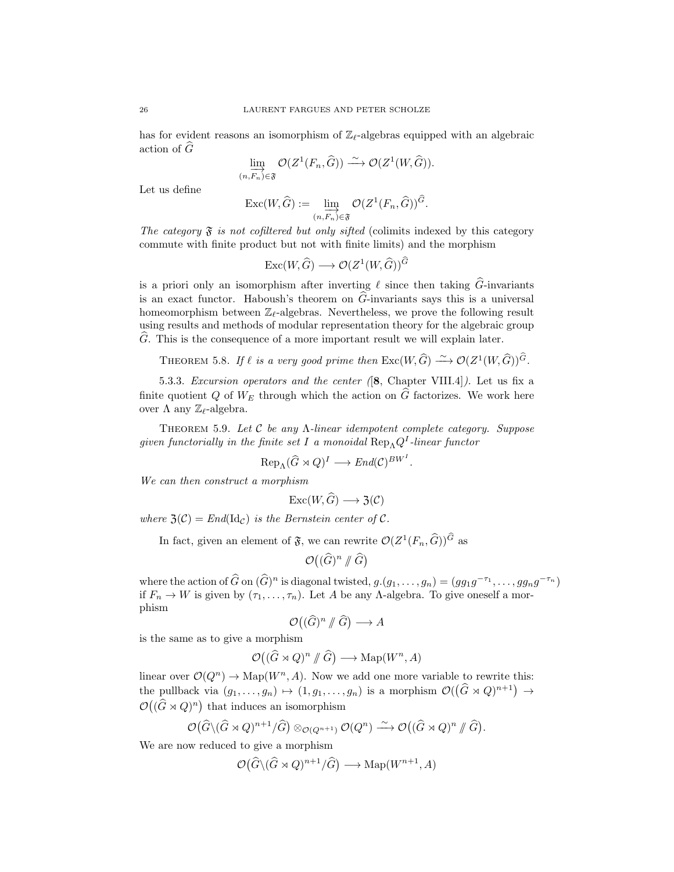has for evident reasons an isomorphism of  $\mathbb{Z}_r$ -algebras equipped with an algebraic action of  $\widehat{G}$ 

$$
\varinjlim_{(n,\overrightarrow{F_n}) \in \mathfrak{F}} \mathcal{O}(Z^1(F_n,\widehat{G})) \xrightarrow{\sim} \mathcal{O}(Z^1(W,\widehat{G})).
$$

Let us define

$$
\operatorname{Exc}(W,\widehat{G}) := \varinjlim_{(n,F_n)\in\mathfrak{F}} \mathcal{O}(Z^1(F_n,\widehat{G}))^{\widehat{G}}.
$$

The category  $\mathfrak F$  is not cofiltered but only sifted (colimits indexed by this category commute with finite product but not with finite limits) and the morphism

$$
\mathrm{Exc}(W,\widehat{G})\longrightarrow \mathcal{O}(Z^1(W,\widehat{G}))^{\widehat{G}}
$$

is a priori only an isomorphism after inverting  $\ell$  since then taking  $\widehat{G}$ -invariants is an exact functor. Haboush's theorem on  $\hat{G}$ -invariants says this is a universal homeomorphism between  $\mathbb{Z}_{\ell}$ -algebras. Nevertheless, we prove the following result using results and methods of modular representation theory for the algebraic group  $\ddot{G}$ . This is the consequence of a more important result we will explain later.

THEOREM 5.8. If  $\ell$  is a very good prime then  $\text{Exc}(W,\widehat{G}) \stackrel{\sim}{\longrightarrow} \mathcal{O}(Z^1(W,\widehat{G}))^{\widehat{G}}$ .

5.3.3. Excursion operators and the center ([8, Chapter VIII.4]). Let us fix a finite quotient Q of  $W_F$  through which the action on  $\tilde{G}$  factorizes. We work here over Λ any  $\mathbb{Z}_{\ell}$ -algebra.

Theorem 5.9. Let C be any Λ-linear idempotent complete category. Suppose given functorially in the finite set I a monoidal  $\text{Rep}_{\Lambda} Q^{I}$ -linear functor

$$
\operatorname{Rep}_{\Lambda}(\widehat{G}\rtimes Q)^{I}\longrightarrow End(\mathcal{C})^{BW^{I}}.
$$

We can then construct a morphism

$$
\mathrm{Exc}(W,\widehat{G})\longrightarrow \mathfrak{Z}(\mathcal{C})
$$

where  $\mathfrak{Z}(\mathcal{C}) = End(\mathrm{Id}_{\mathcal{C}})$  is the Bernstein center of  $\mathcal{C}$ .

In fact, given an element of  $\mathfrak{F}$ , we can rewrite  $\mathcal{O}(Z^1(F_n, \widehat{G}))^G$  as

$$
\mathcal{O}\big((\widehat{G})^n \mathbin{\#} \widehat{G}\big)
$$

where the action of  $\widehat{G}$  on  $(\widehat{G})^n$  is diagonal twisted,  $g.(g_1, ..., g_n) = (gg_1g^{-\tau_1}, ..., gg_ng^{-\tau_n})$ if  $F_n \to W$  is given by  $(\tau_1, \ldots, \tau_n)$ . Let A be any A-algebra. To give oneself a morphism

$$
\mathcal{O}\big((\widehat{G})^n \mathbin{/\!\!/} \widehat{G}\big) \longrightarrow A
$$

is the same as to give a morphism

$$
\mathcal{O}((\widehat{G} \rtimes Q)^n \mathbin{\#} \widehat{G}) \longrightarrow \text{Map}(W^n, A)
$$

linear over  $\mathcal{O}(Q^n) \to \text{Map}(W^n, A)$ . Now we add one more variable to rewrite this: the pullback via  $(g_1, \ldots, g_n) \mapsto (1, g_1, \ldots, g_n)$  is a morphism  $\mathcal{O}((\widehat{G} \rtimes Q)^{n+1}) \to$  $\mathcal{O}((\widehat{G}\rtimes Q)^n)$  that induces an isomorphism

$$
\mathcal{O}(\widehat{G}\setminus(\widehat{G}\rtimes Q)^{n+1}/\widehat{G})\otimes_{\mathcal{O}(Q^{n+1})}\mathcal{O}(Q^n)\stackrel{\sim}{\longrightarrow}\mathcal{O}((\widehat{G}\rtimes Q)^n\mathop{/\!\!/}\widehat{G}).
$$

We are now reduced to give a morphism

$$
\mathcal{O}(\widehat{G}\setminus(\widehat{G}\rtimes Q)^{n+1}/\widehat{G})\longrightarrow\mathrm{Map}(W^{n+1},A)
$$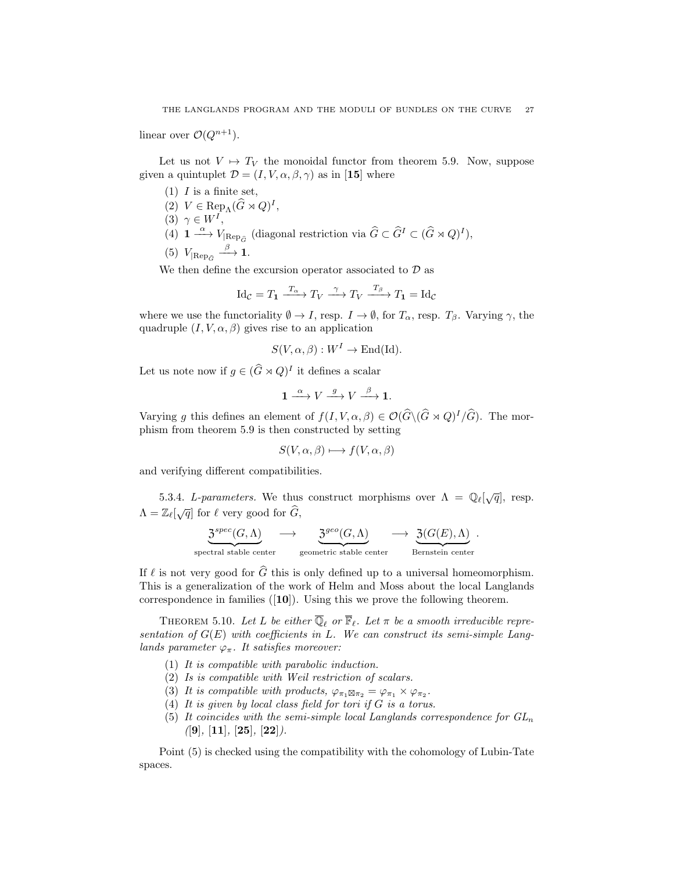linear over  $\mathcal{O}(Q^{n+1})$ .

Let us not  $V \mapsto T_V$  the monoidal functor from theorem 5.9. Now, suppose given a quintuplet  $\mathcal{D} = (I, V, \alpha, \beta, \gamma)$  as in [15] where

- $(1)$  *I* is a finite set,
- (2)  $V \in \text{Rep}_{\Lambda}(\widehat{G} \rtimes Q)^{I},$
- (3)  $\gamma \in W^I$ ,
- (4)  $1 \stackrel{\alpha}{\longrightarrow} V_{\vert \text{Rep}_{\widehat{G}}}$  (diagonal restriction via  $\widehat{G} \subset \widehat{G}^I \subset (\widehat{G} \rtimes Q)^I$ ),

$$
(5) V_{\text{Rep}_{\widehat{G}}} \stackrel{\beta}{\longrightarrow} \mathbf{1}.
$$

We then define the excursion operator associated to  $\mathcal D$  as

$$
\mathrm{Id}_{\mathcal{C}} = T_1 \xrightarrow{T_{\alpha}} T_V \xrightarrow{\gamma} T_V \xrightarrow{T_{\beta}} T_1 = \mathrm{Id}_{\mathcal{C}}
$$

where we use the functoriality  $\emptyset \to I$ , resp.  $I \to \emptyset$ , for  $T_{\alpha}$ , resp.  $T_{\beta}$ . Varying  $\gamma$ , the quadruple  $(I, V, \alpha, \beta)$  gives rise to an application

$$
S(V, \alpha, \beta): W^I \to \text{End}(\text{Id}).
$$

Let us note now if  $g \in (\widehat{G} \rtimes Q)^I$  it defines a scalar

$$
1 \xrightarrow{\alpha} V \xrightarrow{g} V \xrightarrow{\beta} 1.
$$

Varying g this defines an element of  $f(I, V, \alpha, \beta) \in \mathcal{O}(\widehat{G}\setminus(\widehat{G}\rtimes Q)^I/\widehat{G})$ . The morphism from theorem 5.9 is then constructed by setting

$$
S(V, \alpha, \beta) \longmapsto f(V, \alpha, \beta)
$$

and verifying different compatibilities.

5.3.4. L-parameters. We thus construct morphisms over  $\Lambda = \mathbb{Q}_{\ell}[\sqrt{q}]$ , resp.  $\Lambda = \mathbb{Z}_{\ell}[\sqrt{q}]$  for  $\ell$  very good for  $\widehat{G}$ ,

$$
\underbrace{3^{spec}(G,\Lambda)}_{\text{spectral stable center}} \longrightarrow \underbrace{3^{geo}(G,\Lambda)}_{\text{geometric stable center}} \longrightarrow \underbrace{3(G(E),\Lambda)}_{\text{Bernstein center}}.
$$

If  $\ell$  is not very good for  $\widehat{G}$  this is only defined up to a universal homeomorphism. This is a generalization of the work of Helm and Moss about the local Langlands correspondence in families  $([10])$ . Using this we prove the following theorem.

THEOREM 5.10. Let L be either  $\overline{\mathbb{Q}}_{\ell}$  or  $\overline{\mathbb{F}}_{\ell}$ . Let  $\pi$  be a smooth irreducible representation of  $G(E)$  with coefficients in L. We can construct its semi-simple Langlands parameter  $\varphi_{\pi}$ . It satisfies moreover:

- (1) It is compatible with parabolic induction.
- (2) Is is compatible with Weil restriction of scalars.
- (3) It is compatible with products,  $\varphi_{\pi_1 \boxtimes \pi_2} = \varphi_{\pi_1} \times \varphi_{\pi_2}$ .
- (4) It is given by local class field for tori if  $G$  is a torus.
- (5) It coincides with the semi-simple local Langlands correspondence for  $GL_n$  $([9], [11], [25], [22]).$

Point (5) is checked using the compatibility with the cohomology of Lubin-Tate spaces.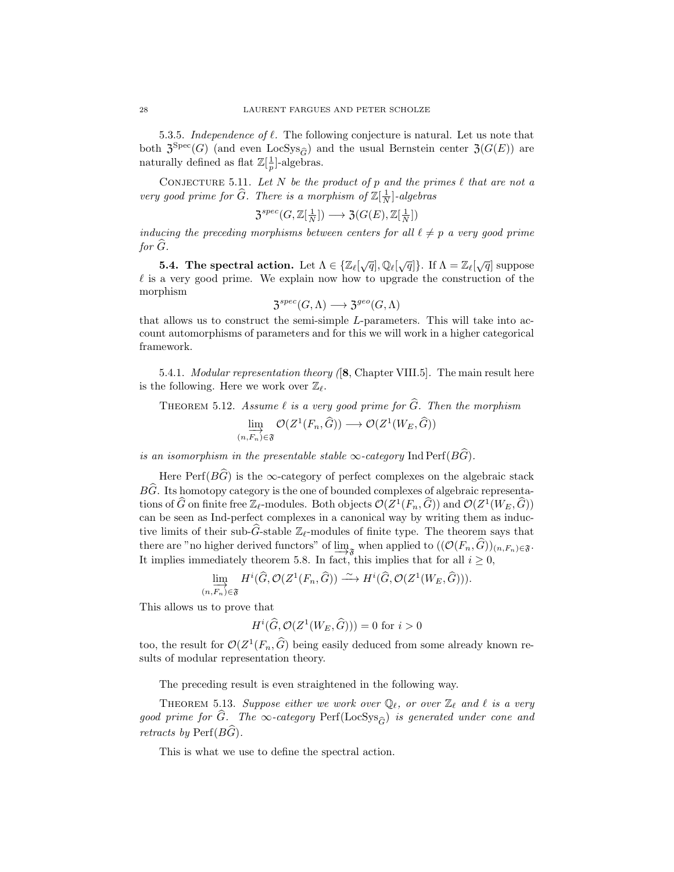5.3.5. Independence of  $\ell$ . The following conjecture is natural. Let us note that both  $\mathfrak{Z}^{\text{Spec}}(G)$  (and even LocSys<sub>G</sub>) and the usual Bernstein center  $\mathfrak{Z}(G(E))$  are naturally defined as flat  $\mathbb{Z}[\frac{1}{p}]$ -algebras.

CONJECTURE 5.11. Let N be the product of p and the primes  $\ell$  that are not a very good prime for  $\widehat{G}$ . There is a morphism of  $\mathbb{Z}[\frac{1}{N}]$ -algebras

$$
\mathfrak{Z}^{spec}(G,\mathbb{Z}[\frac{1}{N}])\longrightarrow \mathfrak{Z}(G(E),\mathbb{Z}[\frac{1}{N}])
$$

inducing the preceding morphisms between centers for all  $\ell \neq p$  a very good prime for  $G$ .

**5.4. The spectral action.** Let  $\Lambda \in \{ \mathbb{Z}_\ell[\sqrt{q}], \mathbb{Q}_\ell[\sqrt{q}] \}$ . If  $\Lambda = \mathbb{Z}_\ell[\sqrt{q}]$  suppose  $\ell$  is a very good prime. We explain now how to upgrade the construction of the morphism

$$
\mathfrak{Z}^{spec}(G,\Lambda)\longrightarrow \mathfrak{Z}^{geo}(G,\Lambda)
$$

that allows us to construct the semi-simple L-parameters. This will take into account automorphisms of parameters and for this we will work in a higher categorical framework.

5.4.1. *Modular representation theory* ([8, Chapter VIII.5]. The main result here is the following. Here we work over  $\mathbb{Z}_{\ell}$ .

THEOREM 5.12. Assume  $\ell$  is a very good prime for  $\widehat{G}$ . Then the morphism

$$
\varinjlim_{(n,\overrightarrow{F_n}) \in \mathfrak{F}} \mathcal{O}(Z^1(F_n,\widehat{G})) \longrightarrow \mathcal{O}(Z^1(W_E,\widehat{G}))
$$

is an isomorphism in the presentable stable  $\infty$ -category Ind Perf( $B\widehat{G}$ ).

Here Perf( $B\widehat{G}$ ) is the ∞-category of perfect complexes on the algebraic stack  $B\widehat{G}$ . Its homotopy category is the one of bounded complexes of algebraic representations of  $\widehat{G}$  on finite free  $\mathbb{Z}_{\ell}$ -modules. Both objects  $\mathcal{O}(Z^1(F_n, \widehat{G}))$  and  $\mathcal{O}(Z^1(W_E, \widehat{G}))$ can be seen as Ind-perfect complexes in a canonical way by writing them as inductive limits of their sub-G-stable  $\mathbb{Z}_{\ell}$ -modules of finite type. The theorem says that there are "no higher derived functors" of  $\lim_{x \to 3}$  when applied to  $((\mathcal{O}(F_n, G))_{(n,F_n)\in\mathfrak{F}}$ . It implies immediately theorem 5.8. In fact, this implies that for all  $i \geq 0$ ,

$$
\varinjlim_{(n,\overrightarrow{F_n}) \in \mathfrak{F}} H^i(\widehat{G}, \mathcal{O}(Z^1(F_n, \widehat{G})) \xrightarrow{\sim} H^i(\widehat{G}, \mathcal{O}(Z^1(W_E, \widehat{G}))).
$$

This allows us to prove that

$$
H^i(\widehat{G}, \mathcal{O}(Z^1(W_E, \widehat{G}))) = 0 \text{ for } i > 0
$$

too, the result for  $\mathcal{O}(Z^1(F_n, \hat{G})$  being easily deduced from some already known results of modular representation theory.

The preceding result is even straightened in the following way.

THEOREM 5.13. Suppose either we work over  $\mathbb{Q}_\ell$ , or over  $\mathbb{Z}_\ell$  and  $\ell$  is a very good prime for  $\widehat{G}$ . The  $\infty$ -category Perf(LocSys<sub> $\widehat{G}$ </sub>) is generated under cone and retracts by  $\text{Perf}(B\widehat{G})$ .

This is what we use to define the spectral action.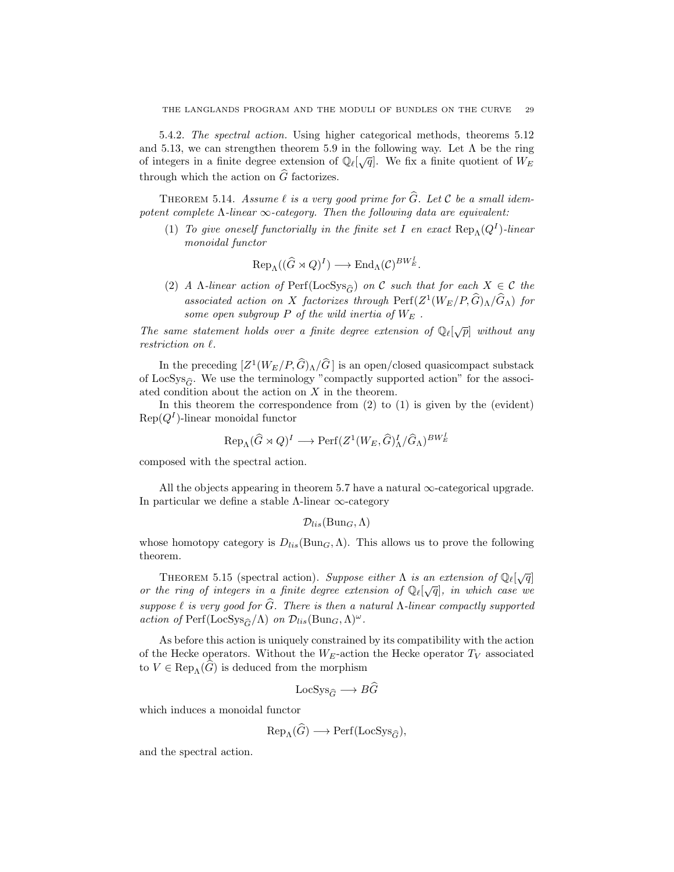5.4.2. The spectral action. Using higher categorical methods, theorems 5.12 and 5.13, we can strengthen theorem 5.9 in the following way. Let  $\Lambda$  be the ring of integers in a finite degree extension of  $\mathbb{Q}_{\ell}[\sqrt{q}]$ . We fix a finite quotient of  $W_E$ through which the action on  $\widehat{G}$  factorizes.

THEOREM 5.14. Assume  $\ell$  is a very good prime for  $\widehat{G}$ . Let C be a small idempotent complete  $\Lambda$ -linear  $\infty$ -category. Then the following data are equivalent:

(1) To give oneself functorially in the finite set I en exact  $\text{Rep}_{\Lambda}(Q^{I})$ -linear monoidal functor

$$
\text{Rep}_{\Lambda}((\widehat{G} \rtimes Q)^{I}) \longrightarrow \text{End}_{\Lambda}(\mathcal{C})^{BW_{E}^{I}}.
$$

(2) A Λ-linear action of Perf(LocSys<sub> $\hat{\sigma}$ </sub>) on C such that for each  $X \in \mathcal{C}$  the associated action on X factorizes through  $\text{Perf}(Z^1(W_E/P, \hat{G})_\Lambda/\hat{G}_\Lambda)$  for some open subgroup  $P$  of the wild inertia of  $W_E$ .

The same statement holds over a finite degree extension of  $\mathbb{Q}_{\ell}[\sqrt{p}]$  without any restriction on  $\ell$ .

In the preceding  $[Z^1(W_E/P, \hat{G})_\Lambda/\hat{G}]$  is an open/closed quasicompact substack of LocSys<sub> $\hat{\sigma}$ </sub>. We use the terminology "compactly supported action" for the associated condition about the action on X in the theorem.

In this theorem the correspondence from  $(2)$  to  $(1)$  is given by the (evident)  $\text{Rep}(Q^I)$ -linear monoidal functor

$$
\text{Rep}_{\Lambda}(\widehat{G} \rtimes Q)^{I} \longrightarrow \text{Perf}(Z^{1}(W_{E}, \widehat{G})^{I}_{\Lambda}/\widehat{G}_{\Lambda})^{BW_{E}^{I}}
$$

composed with the spectral action.

All the objects appearing in theorem 5.7 have a natural  $\infty$ -categorical upgrade. In particular we define a stable  $\Lambda$ -linear  $\infty$ -category

$$
\mathcal{D}_{lis}(\mathrm{Bun}_G,\Lambda)
$$

whose homotopy category is  $D_{lis}(\text{Bun}_G,\Lambda)$ . This allows us to prove the following theorem.

THEOREM 5.15 (spectral action). Suppose either  $\Lambda$  is an extension of  $\mathbb{Q}_{\ell}[\sqrt{q}]$ or the ring of integers in a finite degree extension of  $\mathbb{Q}_{\ell}[\sqrt{q}]$ , in which case we suppose  $\ell$  is very good for  $\widehat{G}$ . There is then a natural Λ-linear compactly supported action of Perf(LocSys<sub> $\hat{G}/\Lambda$ ) on  $\mathcal{D}_{lis}(\text{Bun}_G,\Lambda)^\omega$ .</sub>

As before this action is uniquely constrained by its compatibility with the action of the Hecke operators. Without the  $W_E$ -action the Hecke operator  $T_V$  associated to  $V \in \text{Rep}_{\Lambda}(G)$  is deduced from the morphism

$$
LocSys_{\widehat{G}} \longrightarrow BG
$$

which induces a monoidal functor

$$
Rep_{\Lambda}(\widetilde{G}) \longrightarrow Perf(LocSys_{\widehat{G}}),
$$

and the spectral action.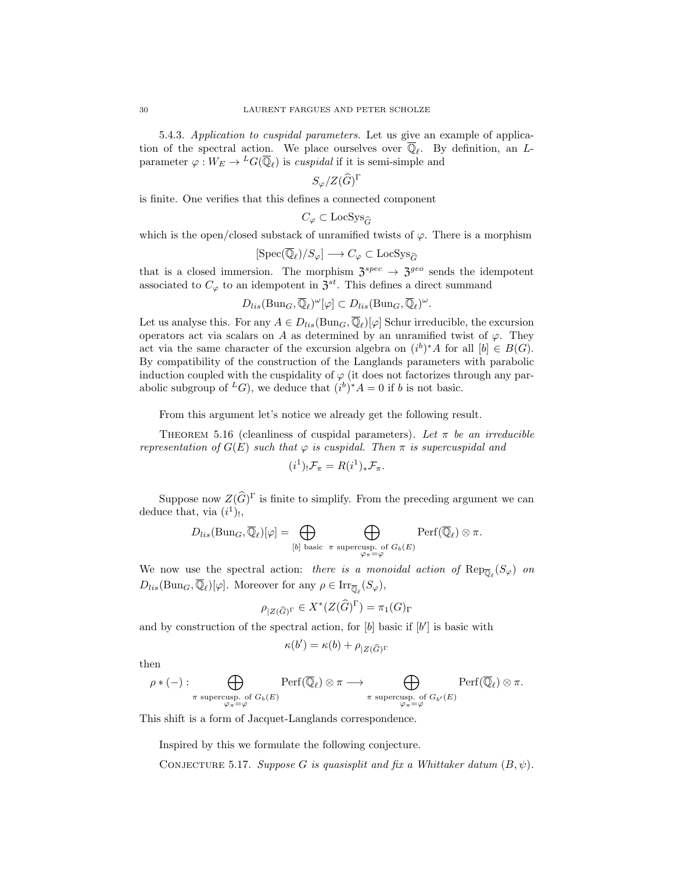5.4.3. Application to cuspidal parameters. Let us give an example of application of the spectral action. We place ourselves over  $\overline{\mathbb{Q}}_{\ell}$ . By definition, an Lparameter  $\varphi: W_E \to {}^L G(\overline{\mathbb{Q}}_{\ell})$  is cuspidal if it is semi-simple and

$$
S_\varphi/Z(\widehat{G})^{\Gamma}
$$

is finite. One verifies that this defines a connected component

$$
C_\varphi\subset \mathrm{LocSys}_{\widehat{G}}
$$

which is the open/closed substack of unramified twists of  $\varphi$ . There is a morphism

$$
[\text{Spec}(\overline{\mathbb{Q}}_{\ell})/S_{\varphi}] \longrightarrow C_{\varphi} \subset \text{LocSys}_{\widehat{G}}
$$

that is a closed immersion. The morphism  $3^{spec} \rightarrow 3^{geo}$  sends the idempotent associated to  $C_{\varphi}$  to an idempotent in  $\mathfrak{Z}^{st}$ . This defines a direct summand

$$
D_{lis}(\text{Bun}_G,\overline{\mathbb{Q}}_{\ell})^{\omega}[\varphi] \subset D_{lis}(\text{Bun}_G,\overline{\mathbb{Q}}_{\ell})^{\omega}.
$$

Let us analyse this. For any  $A \in D_{lis}(\text{Bun}_G, \overline{\mathbb{Q}}_{\ell})[\varphi]$  Schur irreducible, the excursion operators act via scalars on A as determined by an unramified twist of  $\varphi$ . They act via the same character of the excursion algebra on  $(i^b)^*A$  for all  $[b] \in B(G)$ . By compatibility of the construction of the Langlands parameters with parabolic induction coupled with the cuspidality of  $\varphi$  (it does not factorizes through any parabolic subgroup of <sup>L</sup>G), we deduce that  $(i^b)^*A = 0$  if b is not basic.

From this argument let's notice we already get the following result.

THEOREM 5.16 (cleanliness of cuspidal parameters). Let  $\pi$  be an irreducible representation of  $G(E)$  such that  $\varphi$  is cuspidal. Then  $\pi$  is supercuspidal and

$$
(i^1)_{!} \mathcal{F}_{\pi} = R(i^1)_{*} \mathcal{F}_{\pi}.
$$

Suppose now  $Z(\widehat{G})^{\Gamma}$  is finite to simplify. From the preceding argument we can deduce that, via  $(i^1)$ ,

$$
D_{lis}(\text{Bun}_G, \overline{\mathbb{Q}}_\ell)[\varphi] = \bigoplus_{[b] \text{ basic } \pi \text{ supercusp. of } G_b(E)} \text{Perf}(\overline{\mathbb{Q}}_\ell) \otimes \pi.
$$

We now use the spectral action: there is a monoidal action of  $\text{Rep}_{\overline{\mathbb{Q}}_{\ell}}(S_{\varphi})$  on  $D_{lis}(\text{Bun}_G, \overline{\mathbb{Q}}_\ell)[\varphi]$ . Moreover for any  $\rho \in \text{Irr}_{\overline{\mathbb{Q}}_\ell}(S_\varphi)$ ,

$$
\rho_{|Z(\widehat{G})^{\Gamma}} \in X^*(Z(\widehat{G})^{\Gamma}) = \pi_1(G)_{\Gamma}
$$

and by construction of the spectral action, for  $[b]$  basic if  $[b']$  is basic with

$$
\kappa(b') = \kappa(b) + \rho_{|Z(\widehat{G})^\Gamma}
$$

then

$$
\rho * (-): \bigoplus_{\substack{\pi \text{ supercusp. of } G_b(E) \\ \varphi_{\pi} = \varphi}} \text{Perf}(\overline{\mathbb{Q}}_{\ell}) \otimes \pi \longrightarrow \bigoplus_{\substack{\pi \text{ supercusp. of } G_{b'}(E) \\ \varphi_{\pi} = \varphi}} \text{Perf}(\overline{\mathbb{Q}}_{\ell}) \otimes \pi.
$$

This shift is a form of Jacquet-Langlands correspondence.

Inspired by this we formulate the following conjecture.

CONJECTURE 5.17. Suppose G is quasisplit and fix a Whittaker datum  $(B, \psi)$ .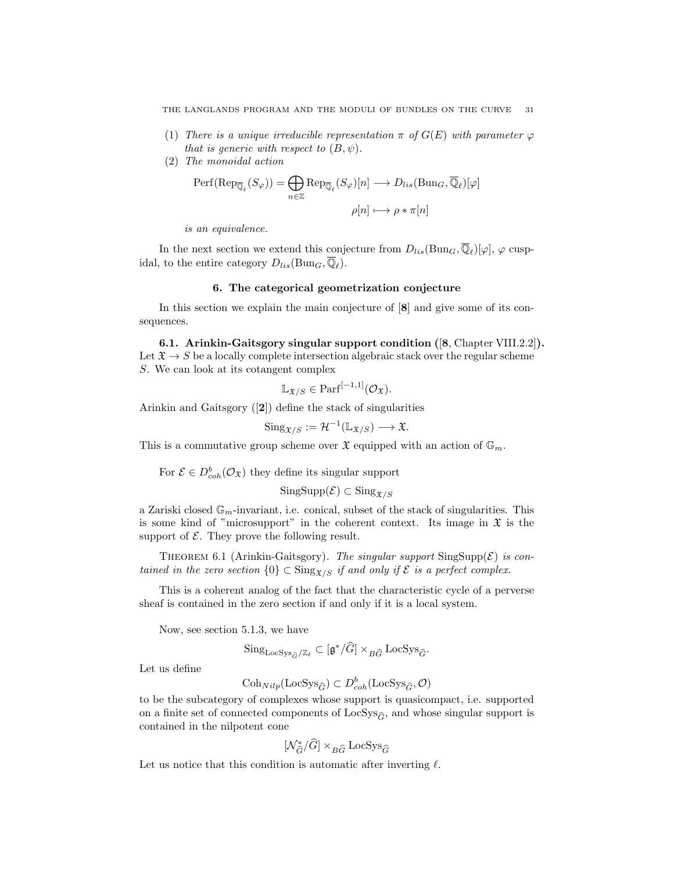- (1) There is a unique irreducible representation  $\pi$  of  $G(E)$  with parameter  $\varphi$ that is generic with respect to  $(B, \psi)$ .
- (2) The monoidal action

$$
\operatorname{Perf}(\operatorname{Rep}_{\overline{\mathbb{Q}}_{\ell}}(S_{\varphi})) = \bigoplus_{n \in \mathbb{Z}} \operatorname{Rep}_{\overline{\mathbb{Q}}_{\ell}}(S_{\varphi})[n] \longrightarrow D_{lis}(\operatorname{Bun}_{G}, \overline{\mathbb{Q}}_{\ell})[\varphi]
$$

$$
\rho[n] \longmapsto \rho * \pi[n]
$$

is an equivalence.

In the next section we extend this conjecture from  $D_{lis}(\text{Bun}_G, \overline{\mathbb{Q}}_{\ell})[\varphi], \varphi$  cuspidal, to the entire category  $D_{lis}(\text{Bun}_G, \overline{\mathbb{Q}}_\ell)$ .

### 6. The categorical geometrization conjecture

In this section we explain the main conjecture of [8] and give some of its consequences.

6.1. Arinkin-Gaitsgory singular support condition ([8, Chapter VIII.2.2]). Let  $\mathfrak{X} \to S$  be a locally complete intersection algebraic stack over the regular scheme S. We can look at its cotangent complex

$$
\mathbb{L}_{\mathfrak{X}/S} \in \mathrm{Parf}^{[-1,1]}(\mathcal{O}_{\mathfrak{X}}).
$$

Arinkin and Gaitsgory ([2]) define the stack of singularities

$$
\mathrm{Sing}_{\mathfrak{X}/S} := \mathcal{H}^{-1}(\mathbb{L}_{\mathfrak{X}/S}) \longrightarrow \mathfrak{X}.
$$

This is a commutative group scheme over  $\mathfrak X$  equipped with an action of  $\mathbb{G}_m$ .

For  $\mathcal{E} \in D^b_{coh}(\mathcal{O}_{\mathfrak{X}})$  they define its singular support

$$
\mathrm{SingSupp}(\mathcal{E}) \subset \mathrm{Sing}_{\mathfrak{X}/S}
$$

a Zariski closed  $\mathbb{G}_m$ -invariant, i.e. conical, subset of the stack of singularities. This is some kind of "microsupport" in the coherent context. Its image in  $\mathfrak X$  is the support of  $\mathcal E$ . They prove the following result.

THEOREM 6.1 (Arinkin-Gaitsgory). The singular support  $\text{SingSupp}(\mathcal{E})$  is contained in the zero section  $\{0\} \subset \text{Sing}_{\mathfrak{X}/S}$  if and only if  $\mathcal E$  is a perfect complex.

This is a coherent analog of the fact that the characteristic cycle of a perverse sheaf is contained in the zero section if and only if it is a local system.

Now, see section 5.1.3, we have

$$
\mathrm{Sing}_{\mathrm{LocSys}_{\hat{G}}/\mathbb{Z}_{\ell}} \subset [\mathfrak{g}^*/\widehat{G}] \times_{B\widehat{G}} \mathrm{LocSys}_{\widehat{G}}.
$$

Let us define

$$
\mathrm{Coh}_{Nilp}(\mathrm{LocSys}_{\widehat{G}})\subset D^b_{coh}(\mathrm{LocSys}_{\widehat{G}},\mathcal{O})
$$

to be the subcategory of complexes whose support is quasicompact, i.e. supported on a finite set of connected components of  $LocSys_{\hat{G}}$ , and whose singular support is contained in the nilpotent cone

$$
[\mathcal{N}_{\widehat{G}}^*/\widehat{G}] \times_{B\widehat{G}} \mathrm{LocSys}_{\widehat{G}}
$$

Let us notice that this condition is automatic after inverting  $\ell$ .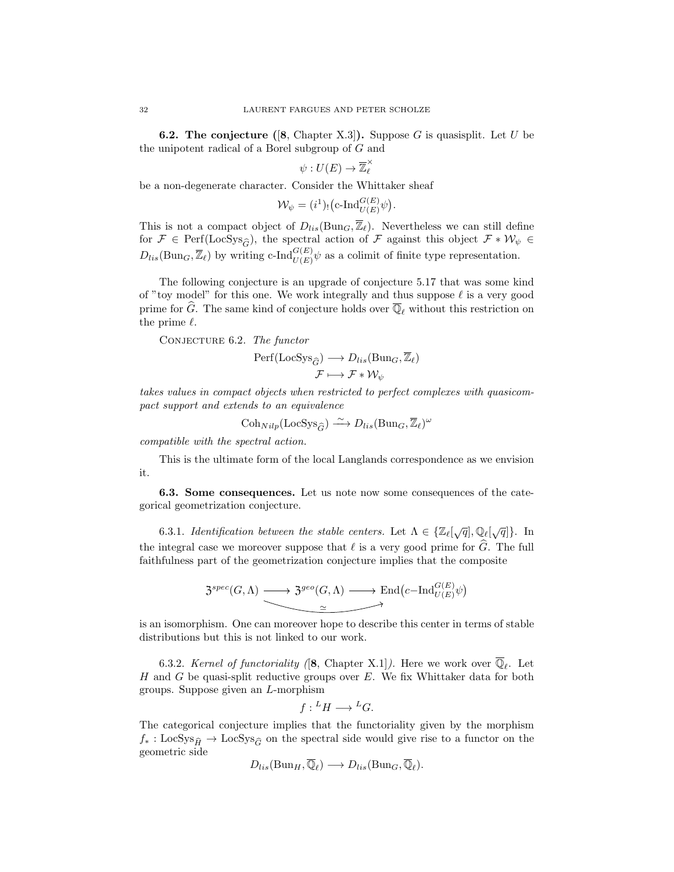**6.2. The conjecture** ([8, Chapter X.3]). Suppose G is quasisplit. Let U be the unipotent radical of a Borel subgroup of G and

$$
\psi:U(E)\to\overline{\mathbb{Z}}_{\ell}^{\times}
$$

be a non-degenerate character. Consider the Whittaker sheaf

$$
\mathcal{W}_{\psi} = (i^1)_! \big( \text{c-}\text{Ind}_{U(E)}^{G(E)} \psi \big)
$$

.

This is not a compact object of  $D_{lis}(\text{Bun}_G, \overline{\mathbb{Z}}_{\ell})$ . Nevertheless we can still define for  $\mathcal{F} \in \text{Perf}(\text{LocSys}_{\widehat{G}})$ , the spectral action of  $\mathcal{F}$  against this object  $\mathcal{F} * \mathcal{W}_{\psi} \in$  $D_{lis}(\text{Bun}_G, \overline{\mathbb{Z}}_{\ell})$  by writing c-Ind ${}_{U(E)}^{G(E)}\psi$  as a colimit of finite type representation.

The following conjecture is an upgrade of conjecture 5.17 that was some kind of "toy model" for this one. We work integrally and thus suppose  $\ell$  is a very good prime for  $\widehat{G}$ . The same kind of conjecture holds over  $\overline{\mathbb{Q}}_{\ell}$  without this restriction on the prime  $\ell$ .

CONJECTURE 6.2. The functor

$$
\begin{aligned} \mathrm{Perf}(\mathrm{LocSys}_{\widehat{G}}) &\longrightarrow D_{lis}(\mathrm{Bun}_G, \overline{\mathbb{Z}}_{\ell}) \\ \mathcal{F} &\longmapsto \mathcal{F} * \mathcal{W}_{\psi} \end{aligned}
$$

takes values in compact objects when restricted to perfect complexes with quasicompact support and extends to an equivalence

$$
\mathrm{Coh}_{Nilp}(\mathrm{LocSys}_{\widehat{G}}) \xrightarrow{\sim} D_{lis}(\mathrm{Bun}_G,\overline{\mathbb{Z}}_{\ell})^{\omega}
$$

compatible with the spectral action.

This is the ultimate form of the local Langlands correspondence as we envision it.

6.3. Some consequences. Let us note now some consequences of the categorical geometrization conjecture.

6.3.1. Identification between the stable centers. Let  $\Lambda \in \{ \mathbb{Z}_\ell[\sqrt{q}], \mathbb{Q}_\ell[\sqrt{q}] \}$ . In the integral case we moreover suppose that  $\ell$  is a very good prime for  $\widehat{G}$ . The full faithfulness part of the geometrization conjecture implies that the composite

$$
\mathfrak{Z}^{spec}(G,\Lambda) \longrightarrow \mathfrak{Z}^{geo}(G,\Lambda) \longrightarrow \text{End}(c-\text{Ind}_{U(E)}^{G(E)}\psi)
$$
  

$$
\simeq
$$

is an isomorphism. One can moreover hope to describe this center in terms of stable distributions but this is not linked to our work.

6.3.2. Kernel of functoriality ([8, Chapter X.1]). Here we work over  $\overline{\mathbb{Q}}_{\ell}$ . Let  $H$  and  $G$  be quasi-split reductive groups over  $E$ . We fix Whittaker data for both groups. Suppose given an L-morphism

$$
f: {}^L H \longrightarrow {}^L G.
$$

The categorical conjecture implies that the functoriality given by the morphism  $f_* : \text{LocSys}_{\hat{H}} \to \text{LocSys}_{\hat{G}}$  on the spectral side would give rise to a functor on the geometric side

$$
D_{lis}(\mathrm{Bun}_H, \overline{\mathbb{Q}}_{\ell}) \longrightarrow D_{lis}(\mathrm{Bun}_G, \overline{\mathbb{Q}}_{\ell}).
$$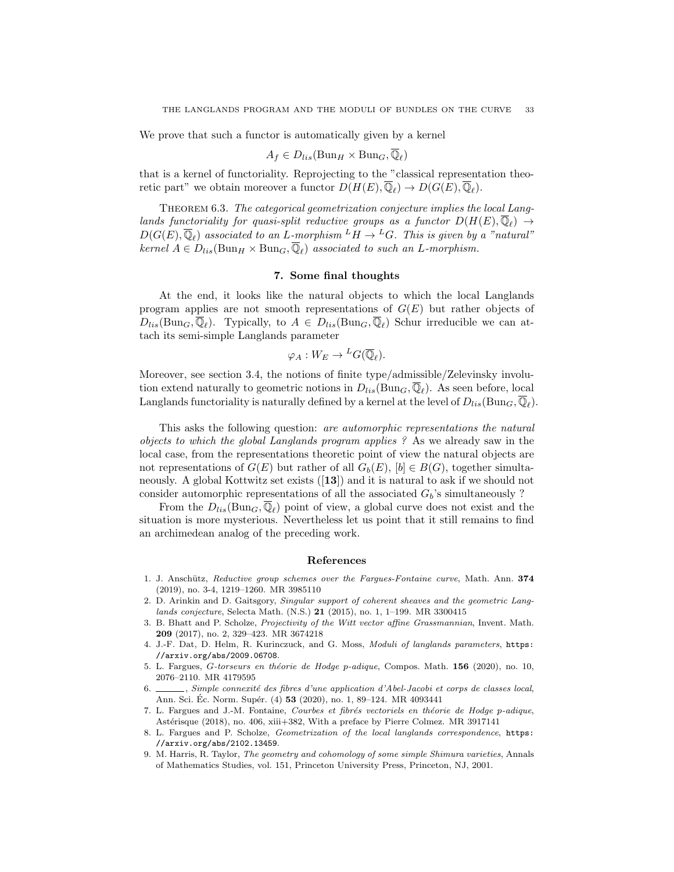We prove that such a functor is automatically given by a kernel

$$
A_f \in D_{lis}(\operatorname{Bun}_H \times \operatorname{Bun}_G, \overline{\mathbb{Q}}_{\ell})
$$

that is a kernel of functoriality. Reprojecting to the "classical representation theoretic part" we obtain moreover a functor  $D(H(E), \overline{\mathbb{Q}}_{\ell}) \to D(G(E), \overline{\mathbb{Q}}_{\ell}).$ 

THEOREM 6.3. The categorical geometrization conjecture implies the local Langlands functoriality for quasi-split reductive groups as a functor  $D(H(E), \overline{\mathbb{Q}}_{\ell}) \rightarrow$  $D(G(E), \overline{\mathbb{Q}}_{\ell})$  associated to an L-morphism  $L_H \to L_G$ . This is given by a "natural" kernel  $A \in D_{lis}(\text{Bun}_H \times \text{Bun}_G, \overline{\mathbb{Q}}_\ell)$  associated to such an L-morphism.

## 7. Some final thoughts

At the end, it looks like the natural objects to which the local Langlands program applies are not smooth representations of  $G(E)$  but rather objects of  $D_{lis}(\text{Bun}_G,\overline{\mathbb{Q}}_\ell)$ . Typically, to  $A \in D_{lis}(\text{Bun}_G,\overline{\mathbb{Q}}_\ell)$  Schur irreducible we can attach its semi-simple Langlands parameter

$$
\varphi_A: W_E \to {}^L G(\overline{\mathbb{Q}}_{\ell}).
$$

Moreover, see section 3.4, the notions of finite type/admissible/Zelevinsky involution extend naturally to geometric notions in  $D_{lis}(\text{Bun}_G, \overline{\mathbb{Q}}_\ell)$ . As seen before, local Langlands functoriality is naturally defined by a kernel at the level of  $D_{lis}(\text{Bun}_G, \overline{\mathbb{Q}}_\ell)$ .

This asks the following question: are automorphic representations the natural objects to which the global Langlands program applies ? As we already saw in the local case, from the representations theoretic point of view the natural objects are not representations of  $G(E)$  but rather of all  $G_b(E)$ ,  $[b] \in B(G)$ , together simultaneously. A global Kottwitz set exists ([13]) and it is natural to ask if we should not consider automorphic representations of all the associated  $G_b$ 's simultaneously ?

From the  $D_{lis}(\text{Bun}_G, \overline{\mathbb{Q}}_\ell)$  point of view, a global curve does not exist and the situation is more mysterious. Nevertheless let us point that it still remains to find an archimedean analog of the preceding work.

#### References

- 1. J. Anschütz, Reductive group schemes over the Fargues-Fontaine curve, Math. Ann. 374 (2019), no. 3-4, 1219–1260. MR 3985110
- 2. D. Arinkin and D. Gaitsgory, Singular support of coherent sheaves and the geometric Langlands conjecture, Selecta Math. (N.S.) 21 (2015), no. 1, 1–199. MR 3300415
- 3. B. Bhatt and P. Scholze, Projectivity of the Witt vector affine Grassmannian, Invent. Math. 209 (2017), no. 2, 329–423. MR 3674218
- 4. J.-F. Dat, D. Helm, R. Kurinczuck, and G. Moss, Moduli of langlands parameters, https: //arxiv.org/abs/2009.06708.
- 5. L. Fargues, G-torseurs en théorie de Hodge p-adique, Compos. Math. 156 (2020), no. 10, 2076–2110. MR 4179595
- 6. Simple connexité des fibres d'une application d'Abel-Jacobi et corps de classes local, Ann. Sci. Ec. Norm. Supér. (4) **53** (2020), no. 1, 89–124. MR 4093441
- 7. L. Fargues and J.-M. Fontaine, Courbes et fibrés vectoriels en théorie de Hodge p-adique, Astérisque (2018), no. 406, xiii+382, With a preface by Pierre Colmez. MR 3917141
- 8. L. Fargues and P. Scholze, Geometrization of the local langlands correspondence, https: //arxiv.org/abs/2102.13459.
- 9. M. Harris, R. Taylor, The geometry and cohomology of some simple Shimura varieties, Annals of Mathematics Studies, vol. 151, Princeton University Press, Princeton, NJ, 2001.